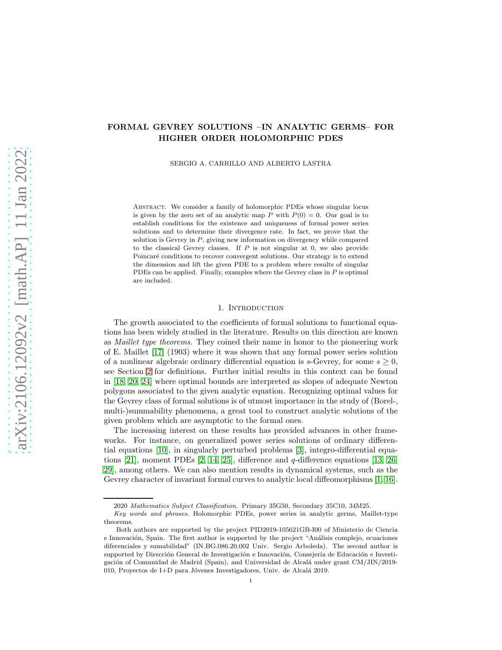# FORMAL GEVREY SOLUTIONS –IN ANALYTIC GERMS– FOR HIGHER ORDER HOLOMORPHIC PDES

SERGIO A. CARRILLO AND ALBERTO LASTRA

Abstract. We consider a family of holomorphic PDEs whose singular locus is given by the zero set of an analytic map P with  $P(0) = 0$ . Our goal is to establish conditions for the existence and uniqueness of formal power series solutions and to determine their divergence rate. In fact, we prove that the solution is Gevrey in  $P$ , giving new information on divergency while compared to the classical Gevrey classes. If  $P$  is not singular at 0, we also provide Poincaré conditions to recover convergent solutions. Our strategy is to extend the dimension and lift the given PDE to a problem where results of singular PDEs can be applied. Finally, examples where the Gevrey class in  $P$  is optimal are included.

## 1. INTRODUCTION

The growth associated to the coefficients of formal solutions to functional equations has been widely studied in the literature. Results on this direction are known as Maillet type theorems. They coined their name in honor to the pioneering work of E. Maillet [\[17\]](#page-20-0) (1903) where it was shown that any formal power series solution of a nonlinear algebraic ordinary differential equation is s-Gevrey, for some  $s \geq 0$ , see Section [2](#page-4-0) for definitions. Further initial results in this context can be found in [\[18,](#page-20-1) [20,](#page-20-2) [24\]](#page-21-0) where optimal bounds are interpreted as slopes of adequate Newton polygons associated to the given analytic equation. Recognizing optimal values for the Gevrey class of formal solutions is of utmost importance in the study of (Borel-, multi-)summability phenomena, a great tool to construct analytic solutions of the given problem which are asymptotic to the formal ones.

The increasing interest on these results has provided advances in other frameworks. For instance, on generalized power series solutions of ordinary differential equations [\[10\]](#page-20-3), in singularly perturbed problems [\[3\]](#page-20-4), integro-differential equations [\[21\]](#page-20-5), moment PDEs [\[2,](#page-20-6) [14,](#page-20-7) [25\]](#page-21-1), difference and q-difference equations [\[13,](#page-20-8) [26,](#page-21-2) [29\]](#page-21-3), among others. We can also mention results in dynamical systems, such as the Gevrey character of invariant formal curves to analytic local diffeomorphisms [\[1,](#page-20-9) [16\]](#page-20-10).

<sup>2020</sup> Mathematics Subject Classification. Primary 35G50, Secondary 35C10, 34M25.

Key words and phrases. Holomorphic PDEs, power series in analytic germs, Maillet-type theorems.

Both authors are supported by the project PID2019-105621GB-I00 of Ministerio de Ciencia e Innovación, Spain. The first author is supported by the project "Análisis complejo, ecuaciones diferenciales y sumabilidad" (IN.BG.086.20.002 Univ. Sergio Arboleda). The second author is supported by Dirección General de Investigación e Innovación, Consejería de Educación e Investigación of Comunidad de Madrid (Spain), and Universidad de Alcalá under grant CM/JIN/2019-010, Proyectos de I+D para Jóvenes Investigadores, Univ. de Alcalá 2019.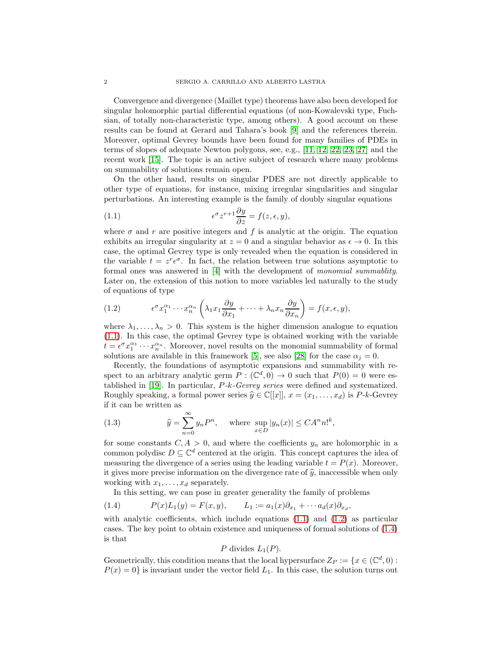Convergence and divergence (Maillet type) theorems have also been developed for singular holomorphic partial differential equations (of non-Kowalevski type, Fuchsian, of totally non-characteristic type, among others). A good account on these results can be found at Gerard and Tahara's book [\[9\]](#page-20-11) and the references therein. Moreover, optimal Gevrey bounds have been found for many families of PDEs in terms of slopes of adequate Newton polygons, see, e.g., [\[11,](#page-20-12) [12,](#page-20-13) [22,](#page-20-14) [23,](#page-20-15) [27\]](#page-21-4) and the recent work [\[15\]](#page-20-16). The topic is an active subject of research where many problems on summability of solutions remain open.

On the other hand, results on singular PDES are not directly applicable to other type of equations, for instance, mixing irregular singularities and singular perturbations. An interesting example is the family of doubly singular equations

<span id="page-1-0"></span>(1.1) 
$$
\epsilon^{\sigma} z^{r+1} \frac{\partial y}{\partial z} = f(z, \epsilon, y),
$$

where  $\sigma$  and r are positive integers and f is analytic at the origin. The equation exhibits an irregular singularity at  $z = 0$  and a singular behavior as  $\epsilon \to 0$ . In this case, the optimal Gevrey type is only revealed when the equation is considered in the variable  $t = z^r \epsilon^{\sigma}$ . In fact, the relation between true solutions asymptotic to formal ones was answered in [\[4\]](#page-20-17) with the development of monomial summablity. Later on, the extension of this notion to more variables led naturally to the study of equations of type

<span id="page-1-1"></span>(1.2) 
$$
\epsilon^{\sigma} x_1^{\alpha_1} \cdots x_n^{\alpha_n} \left( \lambda_1 x_1 \frac{\partial y}{\partial x_1} + \cdots + \lambda_n x_n \frac{\partial y}{\partial x_n} \right) = f(x, \epsilon, y),
$$

where  $\lambda_1, \ldots, \lambda_n > 0$ . This system is the higher dimension analogue to equation [\(1.1\)](#page-1-0). In this case, the optimal Gevrey type is obtained working with the variable  $t = e^{\sigma} x_1^{\alpha_1} \cdots x_n^{\alpha_n}$ . Moreover, novel results on the monomial summability of formal solutions are available in this framework [\[5\]](#page-20-18), see also [\[28\]](#page-21-5) for the case  $\alpha_j = 0$ .

Recently, the foundations of asymptotic expansions and summability with respect to an arbitrary analytic germ  $P : (\mathbb{C}^d, 0) \to 0$  such that  $P(0) = 0$  were established in [\[19\]](#page-20-19). In particular, P-k-Gevrey series were defined and systematized. Roughly speaking, a formal power series  $\hat{y} \in \mathbb{C}[[x]], x = (x_1, \ldots, x_d)$  is P-k-Gevrey if it can be written as

<span id="page-1-3"></span>(1.3) 
$$
\widehat{y} = \sum_{n=0}^{\infty} y_n P^n, \quad \text{where } \sup_{x \in D} |y_n(x)| \leq C A^n n!^k,
$$

for some constants  $C, A > 0$ , and where the coefficients  $y_n$  are holomorphic in a common polydisc  $D \subseteq \mathbb{C}^d$  centered at the origin. This concept captures the idea of measuring the divergence of a series using the leading variable  $t = P(x)$ . Moreover, it gives more precise information on the divergence rate of  $\hat{y}$ , inaccessible when only working with  $x_1, \ldots, x_d$  separately.

<span id="page-1-2"></span>In this setting, we can pose in greater generality the family of problems

(1.4) 
$$
P(x)L_1(y) = F(x, y), \qquad L_1 := a_1(x)\partial_{x_1} + \cdots a_d(x)\partial_{x_d},
$$

with analytic coefficients, which include equations  $(1.1)$  and  $(1.2)$  as particular cases. The key point to obtain existence and uniqueness of formal solutions of [\(1.4\)](#page-1-2) is that

P divides 
$$
L_1(P)
$$
.

Geometrically, this condition means that the local hypersurface  $Z_P := \{x \in (\mathbb{C}^d, 0) :$  $P(x) = 0$  is invariant under the vector field  $L_1$ . In this case, the solution turns out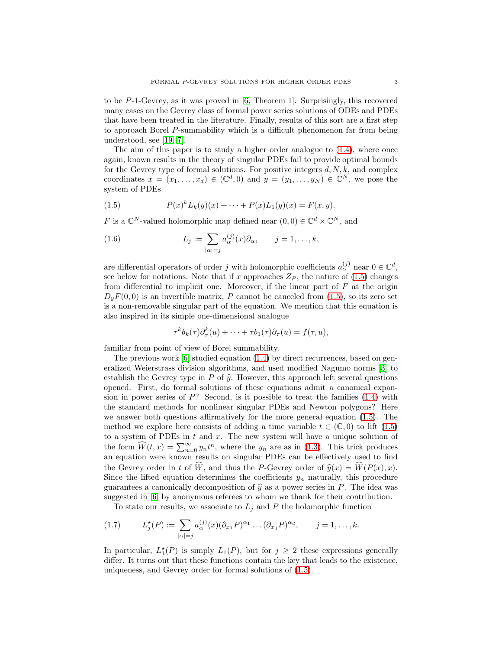to be P-1-Gevrey, as it was proved in [\[6,](#page-20-20) Theorem 1]. Surprisingly, this recovered many cases on the Gevrey class of formal power series solutions of ODEs and PDEs that have been treated in the literature. Finally, results of this sort are a first step to approach Borel P-summability which is a difficult phenomenon far from being understood, see [\[19,](#page-20-19) [7\]](#page-20-21).

The aim of this paper is to study a higher order analogue to [\(1.4\)](#page-1-2), where once again, known results in the theory of singular PDEs fail to provide optimal bounds for the Gevrey type of formal solutions. For positive integers  $d, N, k$ , and complex coordinates  $x = (x_1, \ldots, x_d) \in (\mathbb{C}^d, 0)$  and  $y = (y_1, \ldots, y_N) \in \mathbb{C}^N$ , we pose the system of PDEs

<span id="page-2-0"></span>(1.5) 
$$
P(x)^{k} L_{k}(y)(x) + \cdots + P(x)L_{1}(y)(x) = F(x, y).
$$

F is a  $\mathbb{C}^N$ -valued holomorphic map defined near  $(0,0) \in \mathbb{C}^d \times \mathbb{C}^N$ , and

<span id="page-2-2"></span>(1.6) 
$$
L_j := \sum_{|\alpha|=j} a_{\alpha}^{(j)}(x) \partial_{\alpha}, \qquad j=1,\ldots,k,
$$

are differential operators of order j with holomorphic coefficients  $a_{\alpha}^{(j)}$  near  $0 \in \mathbb{C}^d$ , see below for notations. Note that if x approaches  $Z_P$ , the nature of [\(1.5\)](#page-2-0) changes from differential to implicit one. Moreover, if the linear part of  $F$  at the origin  $D_{\nu}F(0,0)$  is an invertible matrix, P cannot be canceled from [\(1.5\)](#page-2-0), so its zero set is a non-removable singular part of the equation. We mention that this equation is also inspired in its simple one-dimensional analogue

$$
\tau^k b_k(\tau) \partial_\tau^k(u) + \cdots + \tau b_1(\tau) \partial_\tau(u) = f(\tau, u),
$$

familiar from point of view of Borel summability.

The previous work [\[6\]](#page-20-20) studied equation [\(1.4\)](#page-1-2) by direct recurrences, based on generalized Weierstrass division algorithms, and used modified Nagumo norms [\[3\]](#page-20-4) to establish the Gevrey type in P of  $\hat{y}$ . However, this approach left several questions opened. First, do formal solutions of these equations admit a canonical expansion in power series of  $P$ ? Second, is it possible to treat the families  $(1.4)$  with the standard methods for nonlinear singular PDEs and Newton polygons? Here we answer both questions affirmatively for the more general equation [\(1.5\)](#page-2-0). The method we explore here consists of adding a time variable  $t \in (\mathbb{C}, 0)$  to lift  $(1.5)$ to a system of PDEs in  $t$  and  $x$ . The new system will have a unique solution of the form  $\widehat{W}(t,x) = \sum_{n=0}^{\infty} y_n t^n$ , where the  $y_n$  are as in [\(1.3\)](#page-1-3). This trick produces an equation were known results on singular PDEs can be effectively used to find the Gevrey order in t of  $\hat{W}$ , and thus the P-Gevrey order of  $\hat{y}(x) = \hat{W}(P(x), x)$ . Since the lifted equation determines the coefficients  $y_n$  naturally, this procedure guarantees a canonically decomposition of  $\hat{y}$  as a power series in P. The idea was suggested in [\[6\]](#page-20-20) by anonymous referees to whom we thank for their contribution.

<span id="page-2-1"></span>To state our results, we associate to  $L_j$  and P the holomorphic function

$$
(1.7) \qquad L_j^{\star}(P) := \sum_{|\alpha|=j} a_{\alpha}^{(j)}(x) (\partial_{x_1} P)^{\alpha_1} \dots (\partial_{x_d} P)^{\alpha_d}, \qquad j=1,\dots,k.
$$

In particular,  $L_1^*(P)$  is simply  $L_1(P)$ , but for  $j \geq 2$  these expressions generally differ. It turns out that these functions contain the key that leads to the existence, uniqueness, and Gevrey order for formal solutions of [\(1.5\)](#page-2-0).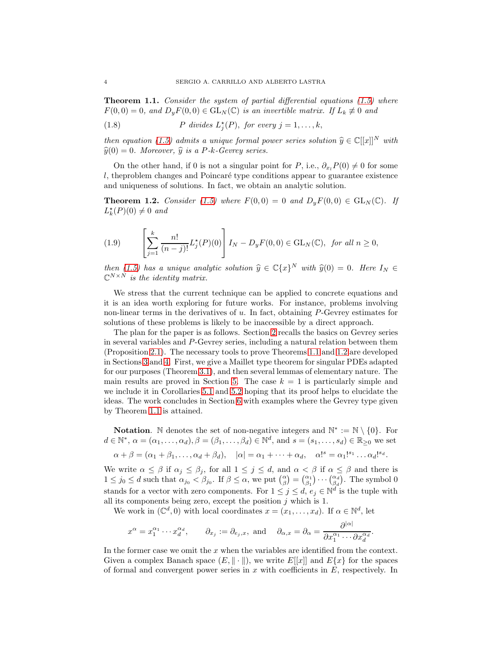<span id="page-3-0"></span>**Theorem 1.1.** Consider the system of partial differential equations  $(1.5)$  where  $F(0,0) = 0$ , and  $D_yF(0,0) \in GL_N(\mathbb{C})$  is an invertible matrix. If  $L_k \neq 0$  and

<span id="page-3-2"></span>(1.8) 
$$
P \text{ divides } L_j^*(P), \text{ for every } j = 1, \ldots, k,
$$

then equation [\(1.5\)](#page-2-0) admits a unique formal power series solution  $\hat{y} \in \mathbb{C}[[x]]^N$  with  $\widehat{y}(0) = 0$ . Moreover,  $\widehat{y}$  is a P-k-Gevrey series.

On the other hand, if 0 is not a singular point for P, i.e.,  $\partial_{x_i}P(0) \neq 0$  for some  $l$ , the problem changes and Poincaré type conditions appear to guarantee existence and uniqueness of solutions. In fact, we obtain an analytic solution.

<span id="page-3-1"></span>**Theorem 1.2.** Consider [\(1.5\)](#page-2-0) where  $F(0,0) = 0$  and  $D_yF(0,0) \in GL_N(\mathbb{C})$ . If  $L_k^{\star}(P)(0) \neq 0$  and

<span id="page-3-3"></span>(1.9) 
$$
\left[\sum_{j=1}^{k} \frac{n!}{(n-j)!} L_j^*(P)(0)\right] I_N - D_y F(0,0) \in GL_N(\mathbb{C}), \text{ for all } n \ge 0,
$$

then [\(1.5\)](#page-2-0) has a unique analytic solution  $\hat{y} \in \mathbb{C}\{x\}^N$  with  $\hat{y}(0) = 0$ . Here  $I_N \in \mathbb{C}^{N \times N}$  is the identity matrix.  $\mathbb{C}^{N\times N}$  is the identity matrix.

We stress that the current technique can be applied to concrete equations and it is an idea worth exploring for future works. For instance, problems involving non-linear terms in the derivatives of u. In fact, obtaining P-Gevrey estimates for solutions of these problems is likely to be inaccessible by a direct approach.

The plan for the paper is as follows. Section [2](#page-4-0) recalls the basics on Gevrey series in several variables and P-Gevrey series, including a natural relation between them (Proposition [2.1\)](#page-5-0). The necessary tools to prove Theorems [1.1](#page-3-0) and [1.2](#page-3-1) are developed in Sections [3](#page-6-0) and [4.](#page-9-0) First, we give a Maillet type theorem for singular PDEs adapted for our purposes (Theorem [3.1\)](#page-6-1), and then several lemmas of elementary nature. The main results are proved in Section [5.](#page-13-0) The case  $k = 1$  is particularly simple and we include it in Corollaries [5.1](#page-16-0) and [5.2](#page-18-0) hoping that its proof helps to elucidate the ideas. The work concludes in Section [6](#page-18-1) with examples where the Gevrey type given by Theorem [1.1](#page-3-0) is attained.

Notation. N denotes the set of non-negative integers and  $\mathbb{N}^* := \mathbb{N} \setminus \{0\}$ . For  $d \in \mathbb{N}^*, \ \alpha = (\alpha_1, \dots, \alpha_d), \beta = (\beta_1, \dots, \beta_d) \in \mathbb{N}^d$ , and  $s = (s_1, \dots, s_d) \in \mathbb{R}_{\geq 0}$  we set

$$
\alpha + \beta = (\alpha_1 + \beta_1, \dots, \alpha_d + \beta_d), \quad |\alpha| = \alpha_1 + \dots + \alpha_d, \quad \alpha!^s = \alpha_1!^{s_1} \dots \alpha_d!^{s_d}.
$$

We write  $\alpha \leq \beta$  if  $\alpha_j \leq \beta_j$ , for all  $1 \leq j \leq d$ , and  $\alpha < \beta$  if  $\alpha \leq \beta$  and there is  $1 \leq j_0 \leq d$  such that  $\alpha_{j_0} < \beta_{j_0}$ . If  $\beta \leq \alpha$ , we put  $\binom{\alpha}{\beta} = \binom{\alpha_1}{\beta_1} \cdots \binom{\alpha_d}{\beta_d}$ . The symbol 0 stands for a vector with zero components. For  $1 \leq j \leq d$ ,  $e_j \in \mathbb{N}^d$  is the tuple with all its components being zero, except the position  $j$  which is 1.

We work in  $(\mathbb{C}^d, 0)$  with local coordinates  $x = (x_1, \ldots, x_d)$ . If  $\alpha \in \mathbb{N}^d$ , let

$$
x^{\alpha} = x_1^{\alpha_1} \cdots x_d^{\alpha_d}, \qquad \partial_{x_j} := \partial_{e_j, x}, \text{ and } \quad \partial_{\alpha, x} = \partial_{\alpha} = \frac{\partial^{|\alpha|}}{\partial x_1^{\alpha_1} \cdots \partial x_d^{\alpha_d}}.
$$

In the former case we omit the  $x$  when the variables are identified from the context. Given a complex Banach space  $(E, \|\cdot\|)$ , we write  $E[[x]]$  and  $E\{x\}$  for the spaces of formal and convergent power series in  $x$  with coefficients in  $E$ , respectively. In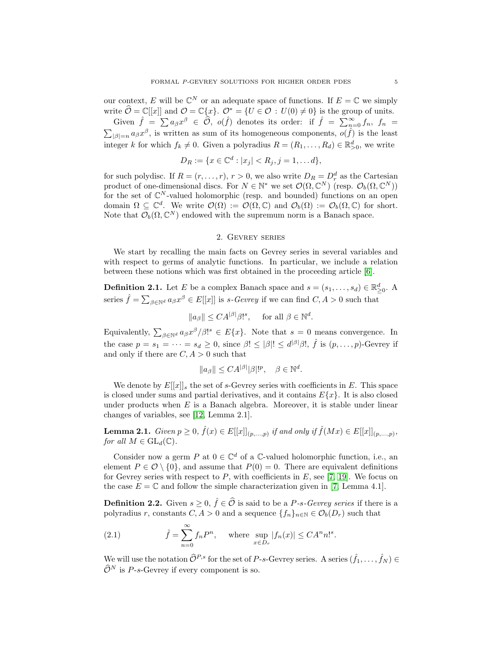our context, E will be  $\mathbb{C}^N$  or an adequate space of functions. If  $E = \mathbb{C}$  we simply write  $\widehat{\mathcal{O}} = \mathbb{C}[[x]]$  and  $\mathcal{O} = \mathbb{C}\{x\}$ .  $\mathcal{O}^* = \{U \in \mathcal{O} : U(0) \neq 0\}$  is the group of units. Given  $\hat{f} = \sum a_{\beta} x^{\beta} \in \hat{\mathcal{O}}$ ,  $o(\hat{f})$  denotes its order: if  $\hat{f} = \sum_{n=1}^{\infty} a_{\beta} x^{\beta}$ Given  $f = \sum a_{\beta} x^{\beta} \in \mathcal{O}$ ,  $o(f)$  denotes its order: if  $f = \sum_{n=0}^{\infty} f_n$ ,  $f_n = \sum_{|\beta|=n} a_{\beta} x^{\beta}$ , is written as sum of its homogeneous components,  $o(f)$  is the least integer k for which  $f_k \neq 0$ . Given a polyradius  $R = (R_1, \ldots, R_d) \in \mathbb{R}_{>0}^d$ , we write

$$
D_R := \{ x \in \mathbb{C}^d : |x_j| < R_j, j = 1, \dots d \},
$$

for such polydisc. If  $R = (r, \ldots, r), r > 0$ , we also write  $D_R = D_r^d$  as the Cartesian product of one-dimensional discs. For  $N \in \mathbb{N}^*$  we set  $\mathcal{O}(\Omega, \mathbb{C}^N)$  (resp.  $\mathcal{O}_b(\Omega, \mathbb{C}^N)$ ) for the set of  $\mathbb{C}^N$ -valued holomorphic (resp. and bounded) functions on an open domain  $\Omega \subseteq \mathbb{C}^d$ . We write  $\mathcal{O}(\Omega) := \mathcal{O}(\Omega, \mathbb{C})$  and  $\mathcal{O}_b(\Omega) := \mathcal{O}_b(\Omega, \mathbb{C})$  for short. Note that  $\mathcal{O}_b(\Omega,\mathbb{C}^N)$  endowed with the supremum norm is a Banach space.

#### 2. Gevrey series

<span id="page-4-0"></span>We start by recalling the main facts on Gevrey series in several variables and with respect to germs of analytic functions. In particular, we include a relation between these notions which was first obtained in the proceeding article [\[6\]](#page-20-20).

**Definition 2.1.** Let E be a complex Banach space and  $s = (s_1, \ldots, s_d) \in \mathbb{R}^d_{\geq 0}$ . A series  $\hat{f} = \sum_{\beta \in \mathbb{N}^d} a_{\beta} x^{\beta} \in E[[x]]$  is s-Gevrey if we can find  $C, A > 0$  such that

$$
||a_{\beta}|| \leq CA^{|\beta|}\beta!^s
$$
, for all  $\beta \in \mathbb{N}^d$ .

Equivalently,  $\sum_{\beta \in \mathbb{N}^d} a_{\beta} x^{\beta} / \beta!^s \in E\{x\}$ . Note that  $s = 0$  means convergence. In the case  $p = s_1 = \cdots = s_d \ge 0$ , since  $\beta! \le |\beta|! \le d^{|\beta|}\beta!$ ,  $\hat{f}$  is  $(p, \ldots, p)$ -Gevrey if and only if there are  $C, A > 0$  such that

$$
||a_{\beta}|| \leq C A^{|\beta|} |\beta|!^p, \quad \beta \in \mathbb{N}^d.
$$

We denote by  $E[[x]]_s$  the set of s-Gevrey series with coefficients in E. This space is closed under sums and partial derivatives, and it contains  $E\{x\}$ . It is also closed under products when  $E$  is a Banach algebra. Moreover, it is stable under linear changes of variables, see [\[12,](#page-20-13) Lemma 2.1].

<span id="page-4-2"></span>**Lemma 2.1.** Given  $p \ge 0$ ,  $\hat{f}(x) \in E[[x]]_{(p,...,p)}$  if and only if  $\hat{f}(Mx) \in E[[x]]_{(p,...,p)}$ , for all  $M \in GL_d(\mathbb{C})$ .

Consider now a germ  $P$  at  $0 \in \mathbb{C}^d$  of a  $\mathbb{C}$ -valued holomorphic function, i.e., an element  $P \in \mathcal{O} \setminus \{0\}$ , and assume that  $P(0) = 0$ . There are equivalent definitions for Gevrey series with respect to  $P$ , with coefficients in  $E$ , see [\[7,](#page-20-21) [19\]](#page-20-19). We focus on the case  $E = \mathbb{C}$  and follow the simple characterization given in [\[7,](#page-20-21) Lemma 4.1].

**Definition 2.2.** Given  $s \geq 0$ ,  $\hat{f} \in \hat{\mathcal{O}}$  is said to be a P-s-Gevrey series if there is a polyradius r, constants  $C, A > 0$  and a sequence  $\{f_n\}_{n \in \mathbb{N}} \in \mathcal{O}_b(D_r)$  such that

<span id="page-4-1"></span>(2.1) 
$$
\hat{f} = \sum_{n=0}^{\infty} f_n P^n, \quad \text{where } \sup_{x \in D_r} |f_n(x)| \leq C A^n n!^s.
$$

We will use the notation  $\widehat{\mathcal{O}}^{P,s}$  for the set of P-s-Gevrey series. A series  $(\hat{f}_1, \ldots, \hat{f}_N) \in$  $\widehat{\mathcal{O}}^N$  is P-s-Gevrey if every component is so.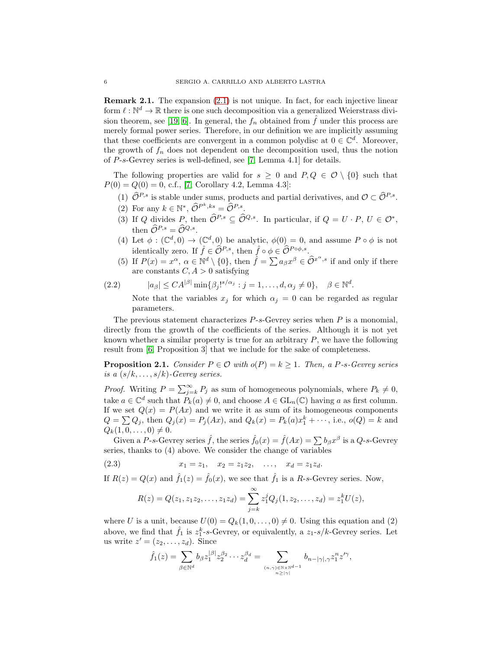Remark 2.1. The expansion [\(2.1\)](#page-4-1) is not unique. In fact, for each injective linear form  $\ell : \mathbb{N}^d \to \mathbb{R}$  there is one such decomposition via a generalized Weierstrass divi-sion theorem, see [\[19,](#page-20-19) [6\]](#page-20-20). In general, the  $f_n$  obtained from  $\hat{f}$  under this process are merely formal power series. Therefore, in our definition we are implicitly assuming that these coefficients are convergent in a common polydisc at  $0 \in \mathbb{C}^d$ . Moreover, the growth of  $f_n$  does not dependent on the decomposition used, thus the notion of P-s-Gevrey series is well-defined, see [\[7,](#page-20-21) Lemma 4.1] for details.

The following properties are valid for  $s \geq 0$  and  $P, Q \in \mathcal{O} \setminus \{0\}$  such that  $P(0) = Q(0) = 0$ , c.f., [\[7,](#page-20-21) Corollary 4.2, Lemma 4.3]:

- (1)  $\widehat{\mathcal{O}}^{P,s}$  is stable under sums, products and partial derivatives, and  $\mathcal{O} \subset \widehat{\mathcal{O}}^{P,s}$ .
- (2) For any  $k \in \mathbb{N}^*, \widehat{\mathcal{O}}^{P^k,ks} = \widehat{\mathcal{O}}^{P,s}.$
- (3) If Q divides P, then  $\widehat{\mathcal{O}}^{P,s} \subseteq \widehat{\mathcal{O}}^{Q,s}$ . In particular, if  $Q = U \cdot P$ ,  $U \in \mathcal{O}^*$ , then  $\widehat{\mathcal{O}}^{P,s} = \widehat{\mathcal{O}}^{Q,s}.$
- (4) Let  $\phi: (\mathbb{C}^d,0) \to (\mathbb{C}^d,0)$  be analytic,  $\phi(0) = 0$ , and assume  $P \circ \phi$  is not identically zero. If  $\hat{f} \in \widehat{\mathcal{O}}^{P,s}$ , then  $\hat{f} \circ \phi \in \widehat{\mathcal{O}}^{P \circ \phi,s}$ .
- (5) If  $P(x) = x^{\alpha}$ ,  $\alpha \in \mathbb{N}^d \setminus \{0\}$ , then  $\hat{f} = \sum a_{\beta} x^{\beta} \in \hat{\mathcal{O}}^{x^{\alpha},s}$  if and only if there are constants  $C, A > 0$  satisfying

$$
(2.2) \t |a_{\beta}| \leq C A^{|\beta|} \min\{\beta_j!^{s/\alpha_j} : j = 1, \dots, d, \alpha_j \neq 0\}, \quad \beta \in \mathbb{N}^d.
$$

Note that the variables  $x_j$  for which  $\alpha_j = 0$  can be regarded as regular parameters.

The previous statement characterizes  $P-s$ -Gevrey series when  $P$  is a monomial, directly from the growth of the coefficients of the series. Although it is not yet known whether a similar property is true for an arbitrary  $P$ , we have the following result from [\[6,](#page-20-20) Proposition 3] that we include for the sake of completeness.

<span id="page-5-0"></span>**Proposition 2.1.** Consider  $P \in \mathcal{O}$  with  $o(P) = k \geq 1$ . Then, a P-s-Gevrey series is a  $(s/k, \ldots, s/k)$ -Gevrey series.

*Proof.* Writing  $P = \sum_{j=k}^{\infty} P_j$  as sum of homogeneous polynomials, where  $P_k \neq 0$ , take  $a \in \mathbb{C}^d$  such that  $P_k(a) \neq 0$ , and choose  $A \in GL_n(\mathbb{C})$  having a as first column. If we set  $Q(x) = P(Ax)$  and we write it as sum of its homogeneous components  $Q = \sum_{i} Q_{i}$ , then  $Q_{i}(x) = P_{i}(Ax)$ , and  $Q_{k}(x) = P_{k}(a)x_{1}^{k} + \cdots$ , i.e.,  $o(Q) = k$  and  $Q_k(1, 0, \ldots, 0) \neq 0.$ 

Given a P-s-Gevrey series  $\hat{f}$ , the series  $\hat{f}_0(x) = \hat{f}(Ax) = \sum b_\beta x^\beta$  is a Q-s-Gevrey series, thanks to (4) above. We consider the change of variables

(2.3)  $x_1 = z_1, \quad x_2 = z_1z_2, \quad \dots, \quad x_d = z_1z_d.$ 

If  $R(z) = Q(x)$  and  $\hat{f}_1(z) = \hat{f}_0(x)$ , we see that  $\hat{f}_1$  is a R-s-Gevrey series. Now,

<span id="page-5-1"></span>
$$
R(z) = Q(z_1, z_1 z_2, \dots, z_1 z_d) = \sum_{j=k}^{\infty} z_1^j Q_j(1, z_2, \dots, z_d) = z_1^k U(z),
$$

where U is a unit, because  $U(0) = Q_k(1, 0, \ldots, 0) \neq 0$ . Using this equation and (2) above, we find that  $\hat{f}_1$  is  $z_1^k$ -s-Gevrey, or equivalently, a  $z_1$ -s/k-Gevrey series. Let us write  $z' = (z_2, \ldots, z_d)$ . Since

$$
\hat{f}_1(z) = \sum_{\beta \in \mathbb{N}^d} b_{\beta} z_1^{|\beta|} z_2^{\beta_2} \cdots z_d^{\beta_d} = \sum_{(n,\gamma) \in \mathbb{N} \times \mathbb{N}^{d-1} \atop n \geq |\gamma|} b_{n-|\gamma|, \gamma} z_1^n z'^{\gamma},
$$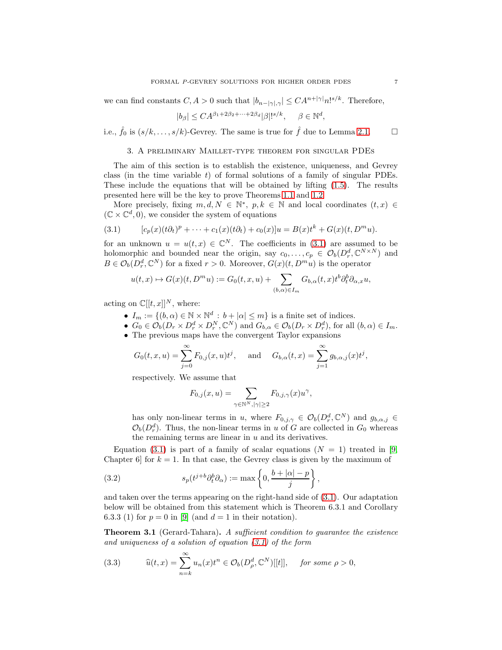we can find constants  $C, A > 0$  such that  $|b_{n-|\gamma|,\gamma}| \leq C A^{n+|\gamma|} n!^{s/k}$ . Therefore,

$$
|b_{\beta}| \leq C A^{\beta_1 + 2\beta_2 + \dots + 2\beta_d} |\beta|!^{s/k}, \quad \beta \in \mathbb{N}^d,
$$

<span id="page-6-0"></span>i.e.,  $\hat{f}_0$  is  $(s/k, \ldots, s/k)$ -Gevrey. The same is true for  $\hat{f}$  due to Lemma [2.1.](#page-4-2)

#### 3. A preliminary Maillet-type theorem for singular PDEs

The aim of this section is to establish the existence, uniqueness, and Gevrey class (in the time variable  $t$ ) of formal solutions of a family of singular PDEs. These include the equations that will be obtained by lifting [\(1.5\)](#page-2-0). The results presented here will be the key to prove Theorems [1.1](#page-3-0) and [1.2.](#page-3-1)

More precisely, fixing  $m, d, N \in \mathbb{N}^*, p, k \in \mathbb{N}$  and local coordinates  $(t, x) \in \mathbb{R}^*$  $(\mathbb{C}\times\mathbb{C}^d,0),$  we consider the system of equations

<span id="page-6-2"></span>(3.1) 
$$
[c_p(x)(t\partial_t)^p + \cdots + c_1(x)(t\partial_t) + c_0(x)]u = B(x)t^k + G(x)(t, D^m u).
$$

for an unknown  $u = u(t, x) \in \mathbb{C}^N$ . The coefficients in [\(3.1\)](#page-6-2) are assumed to be holomorphic and bounded near the origin, say  $c_0, \ldots, c_p \in \mathcal{O}_b(D_r^d, \mathbb{C}^{N \times N})$  and  $B \in \mathcal{O}_b(D_r^d, \mathbb{C}^N)$  for a fixed  $r > 0$ . Moreover,  $G(x)(t, D^m u)$  is the operator

$$
u(t,x) \mapsto G(x)(t,D^m u) := G_0(t,x,u) + \sum_{(b,\alpha) \in I_m} G_{b,\alpha}(t,x) t^b \partial_t^b \partial_{\alpha,x} u,
$$

acting on  $\mathbb{C}[[t,x]]^N$ , where:

- $I_m := \{(b, \alpha) \in \mathbb{N} \times \mathbb{N}^d : b + |\alpha| \leq m\}$  is a finite set of indices.
- $G_0 \in \mathcal{O}_b(D_r \times D_r^d \times D_r^N, \mathbb{C}^N)$  and  $G_{b,\alpha} \in \mathcal{O}_b(D_r \times D_r^d)$ , for all  $(b,\alpha) \in I_m$ .
- The previous maps have the convergent Taylor expansions

$$
G_0(t, x, u) = \sum_{j=0}^{\infty} F_{0,j}(x, u)t^j
$$
, and  $G_{b,\alpha}(t, x) = \sum_{j=1}^{\infty} g_{b,\alpha,j}(x)t^j$ ,

respectively. We assume that

$$
F_{0,j}(x,u)=\sum_{\gamma\in\mathbb{N}^N, |\gamma|\geq 2}F_{0,j,\gamma}(x)u^\gamma,
$$

has only non-linear terms in u, where  $F_{0,j,\gamma} \in \mathcal{O}_b(D_r^d, \mathbb{C}^N)$  and  $g_{b,\alpha,j} \in$  $\mathcal{O}_b(D_r^d)$ . Thus, the non-linear terms in u of G are collected in  $G_0$  whereas the remaining terms are linear in  $u$  and its derivatives.

Equation [\(3.1\)](#page-6-2) is part of a family of scalar equations ( $N = 1$ ) treated in [\[9,](#page-20-11) Chapter 6 for  $k = 1$ . In that case, the Gevrey class is given by the maximum of

<span id="page-6-4"></span>(3.2) 
$$
s_p(t^{j+b}\partial_t^b\partial_\alpha) := \max\left\{0, \frac{b+|\alpha|-p}{j}\right\},\,
$$

and taken over the terms appearing on the right-hand side of [\(3.1\)](#page-6-2). Our adaptation below will be obtained from this statement which is Theorem 6.3.1 and Corollary 6.3.3 (1) for  $p = 0$  in [\[9\]](#page-20-11) (and  $d = 1$  in their notation).

<span id="page-6-1"></span>Theorem 3.1 (Gerard-Tahara). A sufficient condition to guarantee the existence and uniqueness of a solution of equation  $(3.1)$  of the form

<span id="page-6-3"></span>(3.3) 
$$
\widehat{u}(t,x) = \sum_{n=k}^{\infty} u_n(x)t^n \in \mathcal{O}_b(D_\rho^d,\mathbb{C}^N)[[t]], \text{ for some } \rho > 0,
$$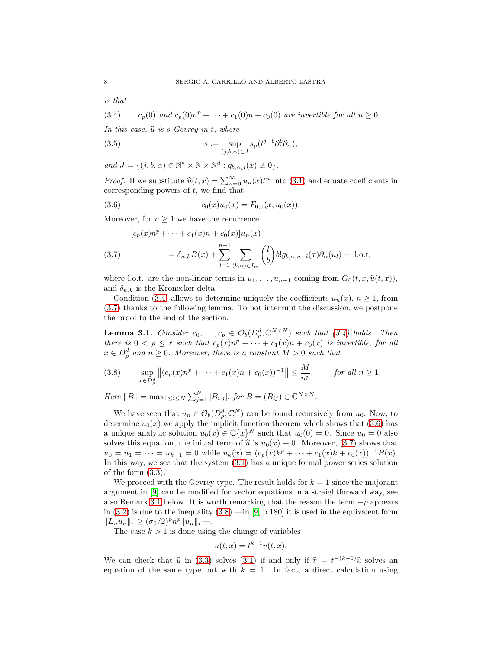is that

<span id="page-7-0"></span>(3.4) c<sub>p</sub>(0) and  $c_p(0)n^p + \cdots + c_1(0)n + c_0(0)$  are invertible for all  $n \ge 0$ .

In this case,  $\hat{u}$  is s-Gevrey in t, where

<span id="page-7-4"></span>(3.5) 
$$
s := \sup_{(j,b,\alpha) \in J} s_p(t^{j+b} \partial_t^b \partial_\alpha),
$$

 $and J = \{ (j, b, \alpha) \in \mathbb{N}^* \times \mathbb{N} \times \mathbb{N}^d : g_{b,\alpha,j}(x) \not\equiv 0 \}.$ 

*Proof.* If we substitute  $\hat{u}(t, x) = \sum_{n=0}^{\infty} u_n(x)t^n$  into [\(3.1\)](#page-6-2) and equate coefficients in corresponding powers of  $t$ , we find that

<span id="page-7-2"></span>(3.6) 
$$
c_0(x)u_0(x) = F_{0,0}(x, u_0(x)).
$$

Moreover, for  $n \geq 1$  we have the recurrence

<span id="page-7-1"></span>
$$
[c_p(x)n^p + \dots + c_1(x)n + c_0(x)]u_n(x)
$$
  
(3.7) 
$$
= \delta_{n,k}B(x) + \sum_{l=1}^{n-1} \sum_{(b,\alpha) \in I_m} {l \choose b} b! g_{b,\alpha,n-l}(x)\partial_\alpha(u_l) + 1 \text{.o.t,}
$$

where l.o.t. are the non-linear terms in  $u_1, \ldots, u_{n-1}$  coming from  $G_0(t, x, \hat{u}(t, x))$ , and  $\delta_{n,k}$  is the Kronecker delta.

Condition [\(3.4\)](#page-7-0) allows to determine uniquely the coefficients  $u_n(x)$ ,  $n \geq 1$ , from [\(3.7\)](#page-7-1) thanks to the following lemma. To not interrupt the discussion, we postpone the proof to the end of the section.

<span id="page-7-5"></span>**Lemma 3.1.** Consider  $c_0, \ldots, c_p \in \mathcal{O}_b(D_r^d, \mathbb{C}^{N \times N})$  such that [\(3.4\)](#page-7-0) holds. Then there is  $0 < \rho \leq r$  such that  $c_p(x)n^p + \cdots + c_1(x)n + c_0(x)$  is invertible, for all  $x \in D^d_\rho$  and  $n \geq 0$ . Moreover, there is a constant  $M > 0$  such that

<span id="page-7-3"></span>
$$
(3.8) \qquad \sup_{x \in D_{\rho}^d} \left\| (c_p(x)n^p + \dots + c_1(x)n + c_0(x))^{-1} \right\| \le \frac{M}{n^p}, \qquad \text{for all } n \ge 1.
$$

Here  $||B|| = \max_{1 \le i \le N} \sum_{j=1}^{N} |B_{i,j}|$ , for  $B = (B_{ij}) \in \mathbb{C}^{N \times N}$ .

We have seen that  $u_n \in \mathcal{O}_b(D_\rho^d, \mathbb{C}^N)$  can be found recursively from  $u_0$ . Now, to determine  $u_0(x)$  we apply the implicit function theorem which shows that [\(3.6\)](#page-7-2) has a unique analytic solution  $u_0(x) \in \mathbb{C}\{x\}^N$  such that  $u_0(0) = 0$ . Since  $u_0 = 0$  also solves this equation, the initial term of  $\hat{u}$  is  $u_0(x) \equiv 0$ . Moreover, [\(3.7\)](#page-7-1) shows that  $u_0 = u_1 = \cdots = u_{k-1} = 0$  while  $u_k(x) = (c_p(x)k^p + \cdots + c_1(x)k + c_0(x))^{-1}B(x)$ . In this way, we see that the system [\(3.1\)](#page-6-2) has a unique formal power series solution of the form [\(3.3\)](#page-6-3).

We proceed with the Gevrey type. The result holds for  $k = 1$  since the majorant argument in [\[9\]](#page-20-11) can be modified for vector equations in a straightforward way, see also Remark [3.1](#page-8-0) below. It is worth remarking that the reason the term  $-p$  appears in  $(3.2)$  is due to the inequality  $(3.8)$  —in  $[9, p.180]$  it is used in the equivalent form  $||L_nu_n||_r \ge (\sigma_0/2)^p n^p ||u_n||_r$ —.

The case  $k > 1$  is done using the change of variables

$$
u(t,x) = t^{k-1}v(t,x).
$$

We can check that  $\hat{u}$  in [\(3.3\)](#page-6-3) solves [\(3.1\)](#page-6-2) if and only if  $\hat{v} = t^{-(k-1)}\hat{u}$  solves an equation of the same type but with  $k = 1$ . In fact, a direct calculation using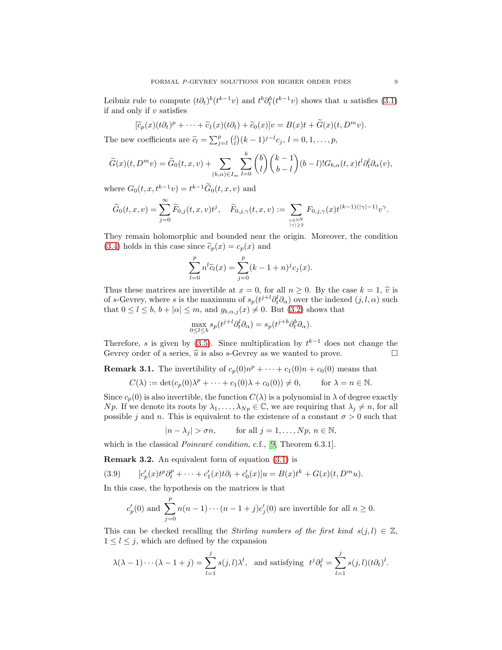Leibniz rule to compute  $(t\partial_t)^b(t^{k-1}v)$  and  $t^b\partial_t^b(t^{k-1}v)$  shows that u satisfies [\(3.1\)](#page-6-2) if and only if  $v$  satisfies

$$
[\widetilde{c}_p(x)(t\partial_t)^p + \cdots + \widetilde{c}_1(x)(t\partial_t) + \widetilde{c}_0(x)]v = B(x)t + \widetilde{G}(x)(t, D^m v).
$$

The new coefficients are  $\tilde{c}_l = \sum_{j=l}^p {j \choose l} (k-1)^{j-l} c_j$ ,  $l = 0, 1, \ldots, p$ ,

$$
\widetilde{G}(x)(t,D^mv)=\widetilde{G}_0(t,x,v)+\sum_{(b,\alpha)\in I_m}\sum_{l=0}^b\binom{b}{l}\binom{k-1}{b-l}(b-l)!G_{b,\alpha}(t,x)t^l\partial_t^l\partial_{\alpha}(v),
$$

where  $G_0(t, x, t^{k-1}v) = t^{k-1} \tilde{G}_0(t, x, v)$  and

$$
\widetilde{G}_0(t,x,v)=\sum_{j=0}^\infty \widetilde{F}_{0,j}(t,x,v)t^j,\quad \widetilde{F}_{0,j,\gamma}(t,x,v):=\sum_{\gamma\in\mathbb{N}^N\atop|\gamma|\geq 2} F_{0,j,\gamma}(x)t^{(k-1)(|\gamma|-1)}v^\gamma.
$$

They remain holomorphic and bounded near the origin. Moreover, the condition [\(3.4\)](#page-7-0) holds in this case since  $\tilde{c}_p(x) = c_p(x)$  and

$$
\sum_{l=0}^{p} n^{l} \widetilde{c}_{l}(x) = \sum_{j=0}^{p} (k - 1 + n)^{j} c_{j}(x).
$$

Thus these matrices are invertible at  $x = 0$ , for all  $n \ge 0$ . By the case  $k = 1$ ,  $\hat{v}$  is of s-Gevrey, where s is the maximum of  $s_p(t^{j+l}\partial_t^l\partial_\alpha)$  over the indexed  $(j, l, \alpha)$  such that  $0 \leq l \leq b$ ,  $b + |\alpha| \leq m$ , and  $g_{b,\alpha,j}(x) \neq 0$ . But  $(3.2)$  shows that

$$
\max_{0 \le l \le b} s_p(t^{j+l} \partial_t^l \partial_\alpha) = s_p(t^{j+b} \partial_t^b \partial_\alpha).
$$

Therefore, s is given by  $(3.5)$ . Since multiplication by  $t^{k-1}$  does not change the Gevrey order of a series,  $\hat{u}$  is also s-Gevrey as we wanted to prove.

<span id="page-8-0"></span>**Remark 3.1.** The invertibility of  $c_p(0)n^p + \cdots + c_1(0)n + c_0(0)$  means that

$$
C(\lambda) := \det(c_p(0)\lambda^p + \dots + c_1(0)\lambda + c_0(0)) \neq 0, \quad \text{for } \lambda = n \in \mathbb{N}.
$$

Since  $c_p(0)$  is also invertible, the function  $C(\lambda)$  is a polynomial in  $\lambda$  of degree exactly Np. If we denote its roots by  $\lambda_1, \ldots, \lambda_{N_p} \in \mathbb{C}$ , we are requiring that  $\lambda_j \neq n$ , for all possible j and n. This is equivalent to the existence of a constant  $\sigma > 0$  such that

$$
|n - \lambda_j| > \sigma n, \quad \text{for all } j = 1, \dots, Np, n \in \mathbb{N},
$$

which is the classical  $Poincaré$  condition, c.f., [\[9,](#page-20-11) Theorem 6.3.1].

<span id="page-8-2"></span>Remark 3.2. An equivalent form of equation [\(3.1\)](#page-6-2) is

(3.9) 
$$
[c'_p(x)t^p\partial_t^p + \cdots + c'_1(x)t\partial_t + c'_0(x)]u = B(x)t^k + G(x)(t, D^m u).
$$

In this case, the hypothesis on the matrices is that

<span id="page-8-1"></span>
$$
c'_p(0)
$$
 and  $\sum_{j=0}^p n(n-1)\cdots(n-1+j)c'_j(0)$  are invertible for all  $n \ge 0$ .

This can be checked recalling the Stirling numbers of the first kind  $s(j, l) \in \mathbb{Z}$ ,  $1 \leq l \leq j$ , which are defined by the expansion

$$
\lambda(\lambda - 1) \cdots (\lambda - 1 + j) = \sum_{l=1}^{j} s(j, l) \lambda^{l}, \text{ and satisfying } t^{j} \partial_{t}^{j} = \sum_{l=1}^{j} s(j, l) (t \partial_{t})^{l}.
$$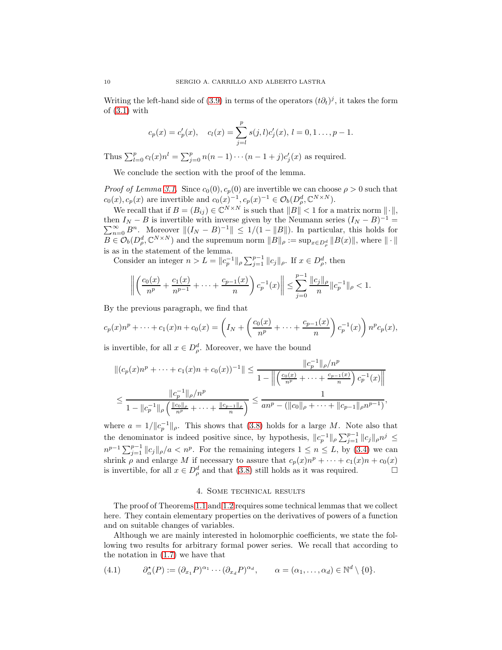Writing the left-hand side of [\(3.9\)](#page-8-1) in terms of the operators  $(t\partial_t)^j$ , it takes the form of  $(3.1)$  with

$$
c_p(x) = c'_p(x)
$$
,  $c_l(x) = \sum_{j=l}^p s(j, l)c'_j(x)$ ,  $l = 0, 1 ..., p - 1$ .

Thus  $\sum_{l=0}^{p} c_l(x) n^l = \sum_{j=0}^{p} n(n-1) \cdots (n-1+j)c'_j(x)$  as required.

We conclude the section with the proof of the lemma.

*Proof of Lemma [3.1.](#page-7-5)* Since  $c_0(0), c_p(0)$  are invertible we can choose  $\rho > 0$  such that  $c_0(x), c_p(x)$  are invertible and  $c_0(x)^{-1}, c_p(x)^{-1} \in \mathcal{O}_b(D_\rho^d, \mathbb{C}^{N \times N}).$ 

We recall that if  $B = (B_{ij}) \in \mathbb{C}^{N \times N}$  is such that  $||B|| < 1$  for a matrix norm  $|| \cdot ||$ , then  $I_N - B$  is invertible with inverse given by the Neumann series  $(I_N - B)$ <br> $\sum_{n=0}^{\infty} B^n$ . Moreover  $||(I_N - B)^{-1}|| \le 1/(1 - ||B||)$ . In particular, this hold en  $I_N - B$  is invertible with inverse given by the Neumann series  $(I_N - B)^{-1} = \sum_{n=0}^{\infty} B^n$ . Moreover  $||(I_N - B)^{-1}|| \le 1/(1 - ||B||)$ . In particular, this holds for  $B \in \mathcal{O}_b(D_\rho^d, \mathbb{C}^{N \times N})$  and the supremum norm  $||B||_\rho := \sup_{x \in D_\rho^d} ||B(x)||$ , where  $|| \cdot ||$ is as in the statement of the lemma.

Consider an integer  $n > L = ||c_p^{-1}||_\rho \sum_{j=1}^{p-1} ||c_j||_\rho$ . If  $x \in D_\rho^d$ , then

$$
\left\| \left( \frac{c_0(x)}{n^p} + \frac{c_1(x)}{n^{p-1}} + \dots + \frac{c_{p-1}(x)}{n} \right) c_p^{-1}(x) \right\| \le \sum_{j=0}^{p-1} \frac{\|c_j\|_{\rho}}{n} \|c_p^{-1}\|_{\rho} < 1.
$$

By the previous paragraph, we find that

$$
c_p(x)n^p + \dots + c_1(x)n + c_0(x) = \left(I_N + \left(\frac{c_0(x)}{n^p} + \dots + \frac{c_{p-1}(x)}{n}\right)c_p^{-1}(x)\right)n^pc_p(x),
$$

is invertible, for all  $x \in D^d_\rho$ . Moreover, we have the bound

$$
||(c_p(x)n^p + \dots + c_1(x)n + c_0(x))^{-1}|| \le \frac{||c_p^{-1}||_{\rho}/n^p}{1 - ||\left(\frac{c_0(x)}{n^p} + \dots + \frac{c_{p-1}(x)}{n}\right)c_p^{-1}(x)||}
$$
  

$$
\le \frac{||c_p^{-1}||_{\rho}/n^p}{1 - ||c_p^{-1}||_{\rho}\left(\frac{||c_0||_{\rho}}{n^p} + \dots + \frac{||c_{p-1}||_{\rho}}{n}\right)} \le \frac{1}{an^p - (||c_0||_{\rho} + \dots + ||c_{p-1}||_{\rho}n^{p-1})},
$$

where  $a = 1/||c_p^{-1}||_\rho$ . This shows that [\(3.8\)](#page-7-3) holds for a large M. Note also that the denominator is indeed positive since, by hypothesis,  $||c_p^{-1}||_\rho \sum_{j=1}^{p-1} ||c_j||_\rho n^j \leq$  $n^{p-1} \sum_{j=1}^{p-1} ||c_j||_p/a < n^p$ . For the remaining integers  $1 \le n \le L$ , by [\(3.4\)](#page-7-0) we can shrink  $\rho$  and enlarge M if necessary to assure that  $c_p(x)n^p + \cdots + c_1(x)n + c_0(x)$ is invertible, for all  $x \in D^d_\rho$  and that [\(3.8\)](#page-7-3) still holds as it was required.

### 4. Some technical results

<span id="page-9-0"></span>The proof of Theorems [1.1](#page-3-0) and [1.2](#page-3-1) requires some technical lemmas that we collect here. They contain elementary properties on the derivatives of powers of a function and on suitable changes of variables.

Although we are mainly interested in holomorphic coefficients, we state the following two results for arbitrary formal power series. We recall that according to the notation in [\(1.7\)](#page-2-1) we have that

<span id="page-9-1"></span>
$$
(4.1) \qquad \partial_{\alpha}^{\star}(P) := (\partial_{x_1} P)^{\alpha_1} \cdots (\partial_{x_d} P)^{\alpha_d}, \qquad \alpha = (\alpha_1, \ldots, \alpha_d) \in \mathbb{N}^d \setminus \{0\}.
$$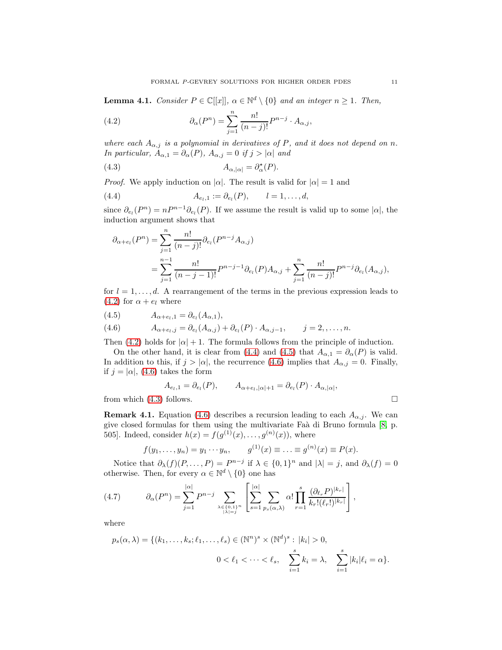<span id="page-10-6"></span>**Lemma 4.1.** Consider  $P \in \mathbb{C}[[x]]$ ,  $\alpha \in \mathbb{N}^d \setminus \{0\}$  and an integer  $n \geq 1$ . Then,

<span id="page-10-0"></span>(4.2) 
$$
\partial_{\alpha}(P^{n}) = \sum_{j=1}^{n} \frac{n!}{(n-j)!} P^{n-j} \cdot A_{\alpha,j},
$$

where each  $A_{\alpha,j}$  is a polynomial in derivatives of P, and it does not depend on n. In particular,  $A_{\alpha,1} = \partial_{\alpha}(P)$ ,  $A_{\alpha,j} = 0$  if  $j > |\alpha|$  and

<span id="page-10-4"></span>(4.3) 
$$
A_{\alpha,|\alpha|} = \partial_{\alpha}^{\star}(P).
$$

*Proof.* We apply induction on  $|\alpha|$ . The result is valid for  $|\alpha| = 1$  and

(4.4) 
$$
A_{e_l,1} := \partial_{e_l}(P), \qquad l = 1, ..., d,
$$

since  $\partial_{e_l}(P^n) = nP^{n-1}\partial_{e_l}(P)$ . If we assume the result is valid up to some  $|\alpha|$ , the induction argument shows that

<span id="page-10-1"></span>
$$
\partial_{\alpha+e_l}(P^n) = \sum_{j=1}^n \frac{n!}{(n-j)!} \partial_{e_l}(P^{n-j}A_{\alpha,j})
$$
  
= 
$$
\sum_{j=1}^{n-1} \frac{n!}{(n-j-1)!} P^{n-j-1} \partial_{e_l}(P) A_{\alpha,j} + \sum_{j=1}^n \frac{n!}{(n-j)!} P^{n-j} \partial_{e_l}(A_{\alpha,j}),
$$

for  $l = 1, \ldots, d$ . A rearrangement of the terms in the previous expression leads to  $(4.2)$  for  $\alpha + e_l$  where

<span id="page-10-2"></span>
$$
(4.5) \t A_{\alpha+e_l,1} = \partial_{e_l}(A_{\alpha,1}),
$$

<span id="page-10-3"></span>(4.6) 
$$
A_{\alpha+e_l,j} = \partial_{e_l}(A_{\alpha,j}) + \partial_{e_l}(P) \cdot A_{\alpha,j-1}, \qquad j=2,\ldots,n.
$$

Then [\(4.2\)](#page-10-0) holds for  $|\alpha| + 1$ . The formula follows from the principle of induction.

On the other hand, it is clear from [\(4.4\)](#page-10-1) and [\(4.5\)](#page-10-2) that  $A_{\alpha,1} = \partial_{\alpha}(P)$  is valid. In addition to this, if  $j > |\alpha|$ , the recurrence [\(4.6\)](#page-10-3) implies that  $A_{\alpha,j} = 0$ . Finally, if  $j = |\alpha|$ , [\(4.6\)](#page-10-3) takes the form

$$
A_{e_l,1} = \partial_{e_l}(P), \qquad A_{\alpha + e_l, |\alpha|+1} = \partial_{e_l}(P) \cdot A_{\alpha, |\alpha|},
$$

from which  $(4.3)$  follows.

**Remark 4.1.** Equation [\(4.6\)](#page-10-3) describes a recursion leading to each  $A_{\alpha,j}$ . We can give closed formulas for them using the multivariate Faà di Bruno formula [\[8,](#page-20-22) p. 505]. Indeed, consider  $h(x) = f(g^{(1)}(x), \ldots, g^{(n)}(x))$ , where

$$
f(y_1,..., y_n) = y_1 \cdots y_n
$$
,  $g^{(1)}(x) \equiv ... \equiv g^{(n)}(x) \equiv P(x)$ .

Notice that  $\partial_{\lambda}(f)(P,\ldots,P) = P^{n-j}$  if  $\lambda \in \{0,1\}^n$  and  $|\lambda| = j$ , and  $\partial_{\lambda}(f) = 0$ otherwise. Then, for every  $\alpha \in \mathbb{N}^d \setminus \{0\}$  one has

<span id="page-10-5"></span>
$$
(4.7) \qquad \partial_{\alpha}(P^n) = \sum_{j=1}^{|\alpha|} P^{n-j} \sum_{\lambda \in \{0,1\}^n \atop |\lambda|=j} \left[ \sum_{s=1}^{|\alpha|} \sum_{p_s(\alpha,\lambda)} \alpha! \prod_{r=1}^s \frac{(\partial_{\ell_r} P)^{|k_r|}}{k_r!(\ell_r!)^{|k_r|}} \right],
$$

where

$$
p_s(\alpha, \lambda) = \{(k_1, \ldots, k_s; \ell_1, \ldots, \ell_s) \in (\mathbb{N}^n)^s \times (\mathbb{N}^d)^s : |k_i| > 0, 0 < \ell_1 < \cdots < \ell_s, \sum_{i=1}^s k_i = \lambda, \sum_{i=1}^s |k_i| \ell_i = \alpha\}.
$$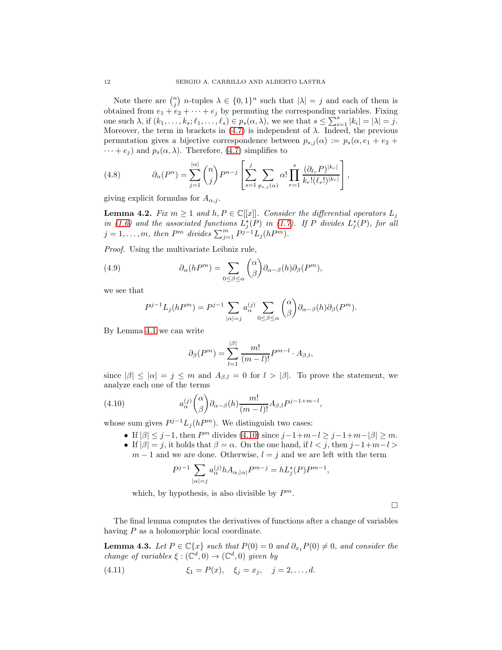Note there are  $\binom{n}{j}$  *n*-tuples  $\lambda \in \{0,1\}^n$  such that  $|\lambda| = j$  and each of them is obtained from  $e_1 + e_2 + \cdots + e_j$  by permuting the corresponding variables. Fixing one such  $\lambda$ , if  $(k_1, \ldots, k_s; \ell_1, \ldots, \ell_s) \in p_s(\alpha, \lambda)$ , we see that  $s \leq \sum_{i=1}^s |k_i| = |\lambda| = j$ . Moreover, the term in brackets in  $(4.7)$  is independent of  $\lambda$ . Indeed, the previous permutation gives a bijective correspondence between  $p_{s,j}(\alpha) := p_s(\alpha, e_1 + e_2 +$  $\cdots + e_j$  and  $p_s(\alpha, \lambda)$ . Therefore, [\(4.7\)](#page-10-5) simplifies to

(4.8) 
$$
\partial_{\alpha}(P^n) = \sum_{j=1}^{|\alpha|} {n \choose j} P^{n-j} \left[ \sum_{s=1}^j \sum_{p_{s,j}(\alpha)} \alpha! \prod_{r=1}^s \frac{(\partial_{\ell_r} P)^{|k_r|}}{k_r!(\ell_r!)^{|k_r|}} \right],
$$

giving explicit formulas for  $A_{\alpha,j}$ .

<span id="page-11-2"></span>**Lemma 4.2.** Fix  $m \geq 1$  and  $h, P \in \mathbb{C}[[x]]$ . Consider the differential operators  $L_j$ in [\(1.6\)](#page-2-2) and the associated functions  $L_j^{\star}(P)$  in [\(1.7\)](#page-2-1). If P divides  $L_j^{\star}(P)$ , for all  $j = 1, \ldots, m$ , then  $P^m$  divides  $\sum_{j=1}^m P^{j-1} L_j(hP^m)$ .

Proof. Using the multivariate Leibniz rule,

(4.9) 
$$
\partial_{\alpha}(hP^{m}) = \sum_{0 \leq \beta \leq \alpha} {\alpha \choose \beta} \partial_{\alpha-\beta}(h) \partial_{\beta}(P^{m}),
$$

we see that

<span id="page-11-3"></span>
$$
P^{j-1}L_j(hP^m) = P^{j-1} \sum_{|\alpha|=j} a_{\alpha}^{(j)} \sum_{0 \le \beta \le \alpha} {\alpha \choose \beta} \partial_{\alpha-\beta}(h) \partial_{\beta}(P^m).
$$

By Lemma [4.1](#page-10-6) we can write

<span id="page-11-0"></span>
$$
\partial_{\beta}(P^m) = \sum_{l=1}^{|\beta|} \frac{m!}{(m-l)!} P^{m-l} \cdot A_{\beta,l},
$$

since  $|\beta| \leq |\alpha| = j \leq m$  and  $A_{\beta,l} = 0$  for  $l > |\beta|$ . To prove the statement, we analyze each one of the terms

(4.10) 
$$
a_{\alpha}^{(j)} {\alpha \choose \beta} \partial_{\alpha-\beta}(h) \frac{m!}{(m-l)!} A_{\beta,l} P^{j-1+m-l},
$$

whose sum gives  $P^{j-1}L_j(hP^m)$ . We distinguish two cases:

- If  $|\beta| \leq j-1$ , then  $P^m$  divides [\(4.10\)](#page-11-0) since  $j-1+m-l \geq j-1+m-|\beta| \geq m$ .
- If  $|\beta| = j$ , it holds that  $\beta = \alpha$ . On the one hand, if  $l < j$ , then  $j-1+m-l$  $m-1$  and we are done. Otherwise,  $l = j$  and we are left with the term

$$
P^{j-1}\sum_{|\alpha|=j}a_{\alpha}^{(j)}hA_{\alpha,|\alpha|}P^{m-j}=hL_j^{\star}(P)P^{m-1},
$$

which, by hypothesis, is also divisible by  $P^m$ .

 $\Box$ 

The final lemma computes the derivatives of functions after a change of variables having P as a holomorphic local coordinate.

<span id="page-11-1"></span>**Lemma 4.3.** Let  $P \in \mathbb{C}\{x\}$  such that  $P(0) = 0$  and  $\partial_{x_1} P(0) \neq 0$ , and consider the change of variables  $\xi : (\mathbb{C}^d, 0) \to (\mathbb{C}^d, 0)$  given by

<span id="page-11-4"></span>(4.11) 
$$
\xi_1 = P(x), \quad \xi_j = x_j, \quad j = 2, ..., d.
$$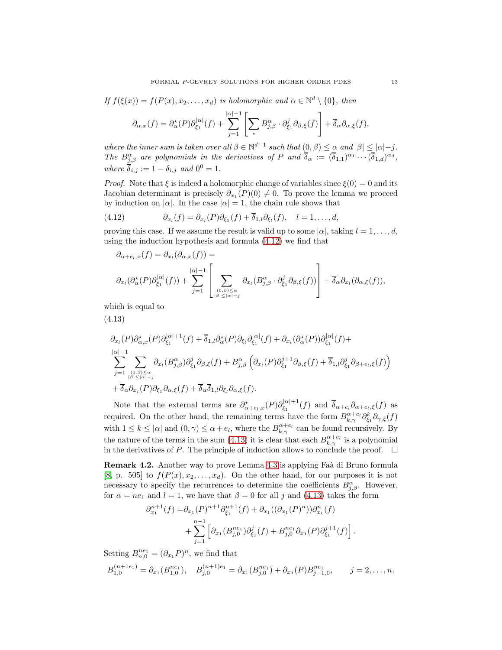$$
If f(\xi(x)) = f(P(x), x_2, ..., x_d) \text{ is holomorphic and } \alpha \in \mathbb{N}^d \setminus \{0\}, \text{ then}
$$

$$
\partial_{\alpha, x}(f) = \partial_{\alpha}^{\star}(P)\partial_{\xi_1}^{|\alpha|}(f) + \sum_{j=1}^{|\alpha|-1} \left[ \sum_{\ast} B_{j,\beta}^{\alpha} \cdot \partial_{\xi_1}^j \partial_{\beta,\xi}(f) \right] + \overline{\delta}_{\alpha} \partial_{\alpha,\xi}(f),
$$

where the inner sum is taken over all  $\beta \in \mathbb{N}^{d-1}$  such that  $(0, \beta) \leq \alpha$  and  $|\beta| \leq |\alpha|-j$ . The  $B^{\alpha}_{j,\beta}$  are polynomials in the derivatives of P and  $\overline{\delta}_{\alpha} := (\overline{\delta}_{1,1})^{\alpha_1} \cdots (\overline{\delta}_{1,d})^{\alpha_d}$ , where  $\overline{\delta}_{i,j} := 1 - \delta_{i,j}$  and  $0^0 = 1$ .

*Proof.* Note that  $\xi$  is indeed a holomorphic change of variables since  $\xi(0) = 0$  and its Jacobian determinant is precisely  $\partial_{x_1}(P)(0) \neq 0$ . To prove the lemma we proceed by induction on  $|\alpha|$ . In the case  $|\alpha|=1$ , the chain rule shows that

<span id="page-12-0"></span>(4.12) 
$$
\partial_{x_l}(f) = \partial_{x_l}(P)\partial_{\xi_1}(f) + \overline{\delta}_{1,l}\partial_{\xi_l}(f), \quad l = 1, ..., d,
$$

proving this case. If we assume the result is valid up to some  $|\alpha|$ , taking  $l = 1, \ldots, d$ , using the induction hypothesis and formula [\(4.12\)](#page-12-0) we find that

$$
\partial_{\alpha+e_l,x}(f) = \partial_{x_l}(\partial_{\alpha,x}(f)) =
$$
\n
$$
\partial_{x_l}(\partial_{\alpha}^{\star}(P)\partial_{\xi_1}^{|\alpha|}(f)) + \sum_{j=1}^{|\alpha|-1} \left[ \sum_{\substack{(0,\beta)\leq \alpha\\|\beta|\leq |\alpha|-j}} \partial_{x_l}(B_{j,\beta}^{\alpha} \cdot \partial_{\xi_1}^j \partial_{\beta,\xi}(f)) \right] + \overline{\delta}_{\alpha} \partial_{x_l}(\partial_{\alpha,\xi}(f)),
$$

which is equal to

<span id="page-12-1"></span>(4.13)

$$
\partial_{x_l}(P)\partial_{\alpha,x}^{\star}(P)\partial_{\xi_1}^{|\alpha|+1}(f) + \overline{\delta}_{1,l}\partial_{\alpha}^{\star}(P)\partial_{\xi_l}\partial_{\xi_1}^{|\alpha|}(f) + \partial_{x_l}(\partial_{\alpha}^{\star}(P))\partial_{\xi_1}^{|\alpha|}(f) + \sum_{j=1}^{|\alpha|-1} \sum_{\substack{(0,\beta)\leq \alpha\\|\beta|\leq |\alpha|-j}} \partial_{x_l}(B_{j,\beta}^{\alpha})\partial_{\xi_1}^j \partial_{\beta,\xi}(f) + B_{j,\beta}^{\alpha}\left(\partial_{x_l}(P)\partial_{\xi_1}^{j+1}\partial_{\beta,\xi}(f) + \overline{\delta}_{1,l}\partial_{\xi_1}^j \partial_{\beta+e_l,\xi}(f)\right) \n+ \overline{\delta}_{\alpha}\partial_{x_l}(P)\partial_{\xi_1}\partial_{\alpha,\xi}(f) + \overline{\delta}_{\alpha}\overline{\delta}_{1,l}\partial_{\xi_l}\partial_{\alpha,\xi}(f).
$$

Note that the external terms are  $\partial_{\alpha+e_l,x}^{\star}(P)\partial_{\xi_1}^{|\alpha|+1}$  $\zeta_1^{|\alpha|+1}(f)$  and  $\delta_{\alpha+e_l}\partial_{\alpha+e_l}, \zeta(f)$  as required. On the other hand, the remaining terms have the form  $B_{k,\gamma}^{\alpha+e_l} \partial_{\xi_1}^k \partial_{\gamma,\xi}(f)$ with  $1 \leq k \leq |\alpha|$  and  $(0, \gamma) \leq \alpha + e_l$ , where the  $B_{k,\gamma}^{\alpha+e_l}$  can be found recursively. By the nature of the terms in the sum [\(4.13\)](#page-12-1) it is clear that each  $B_{k,\gamma}^{\alpha+e_l}$  is a polynomial in the derivatives of P. The principle of induction allows to conclude the proof.  $\Box$ 

**Remark 4.2.** Another way to prove Lemma [4.3](#page-11-1) is applying Faà di Bruno formula [\[8,](#page-20-22) p. 505] to  $f(P(x), x_2, \ldots, x_d)$ . On the other hand, for our purposes it is not necessary to specify the recurrences to determine the coefficients  $B^{\alpha}_{j,\beta}$ . However, for  $\alpha = ne_1$  and  $l = 1$ , we have that  $\beta = 0$  for all j and [\(4.13\)](#page-12-1) takes the form

$$
\partial_{x_1}^{n+1}(f) = \partial_{x_1}(P)^{n+1} \partial_{\xi_1}^{n+1}(f) + \partial_{x_1}((\partial_{x_1}(P)^n))\partial_{x_1}^n(f) + \sum_{j=1}^{n-1} \left[ \partial_{x_1}(B_{j,0}^{ne_1})\partial_{\xi_1}^j(f) + B_{j,0}^{ne_1} \partial_{x_1}(P)\partial_{\xi_1}^{j+1}(f) \right].
$$

Setting  $B_{n,0}^{ne_1} = (\partial_{x_1} P)^n$ , we find that

$$
B_{1,0}^{(n+1e_1)} = \partial_{x_1}(B_{1,0}^{ne_1}), \quad B_{j,0}^{(n+1)e_1} = \partial_{x_1}(B_{j,0}^{ne_1}) + \partial_{x_1}(P)B_{j-1,0}^{ne_1}, \qquad j = 2,\ldots,n.
$$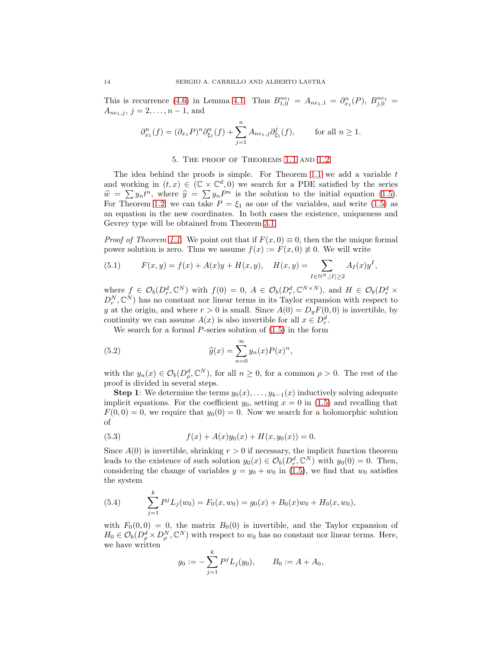This is recurrence [\(4.6\)](#page-10-3) in Lemma [4.1.](#page-10-6) Thus  $B_{1,0}^{ne_1} = A_{ne_1,1} = \partial_{x_1}^{n}(P), B_{j,0}^{ne_1} =$  $A_{ne_1,j}, j = 2, \ldots, n-1,$  and

$$
\partial_{x_1}^n(f) = (\partial_{x_1} P)^n \partial_{\xi_1}^n(f) + \sum_{j=1}^n A_{ne_1,j} \partial_{\xi_1}^j(f), \quad \text{for all } n \ge 1.
$$

#### 5. The proof of Theorems [1.1](#page-3-0) and [1.2](#page-3-1)

<span id="page-13-0"></span>The idea behind the proofs is simple. For Theorem [1.1](#page-3-0) we add a variable  $t$ and working in  $(t, x) \in (\mathbb{C} \times \mathbb{C}^d, 0)$  we search for a PDE satisfied by the series  $\hat{w} = \sum y_n t^n$ , where  $\hat{y} = \sum y_n P^n$  is the solution to the initial equation [\(1.5\)](#page-2-0). For Theorem [1.2,](#page-3-1) we can take  $P = \xi_1$  as one of the variables, and write [\(1.5\)](#page-2-0) as an equation in the new coordinates. In both cases the existence, uniqueness and Gevrey type will be obtained from Theorem [3.1.](#page-6-1)

*Proof of Theorem [1.1.](#page-3-0)* We point out that if  $F(x, 0) \equiv 0$ , then the unique formal power solution is zero. Thus we assume  $f(x) := F(x, 0) \neq 0$ . We will write

<span id="page-13-1"></span>(5.1) 
$$
F(x,y) = f(x) + A(x)y + H(x,y), \quad H(x,y) = \sum_{I \in \mathbb{N}^N, |I| \ge 2} A_I(x)y^I,
$$

where  $f \in \mathcal{O}_b(D_r^d, \mathbb{C}^N)$  with  $f(0) = 0, A \in \mathcal{O}_b(D_r^d, \mathbb{C}^{N \times N})$ , and  $H \in \mathcal{O}_b(D_r^d \times \mathbb{C}^{N \times N})$  $D_r^N, \mathbb{C}^N$  has no constant nor linear terms in its Taylor expansion with respect to y at the origin, and where  $r > 0$  is small. Since  $A(0) = D_y F(0, 0)$  is invertible, by continuity we can assume  $A(x)$  is also invertible for all  $x \in D_r^d$ .

We search for a formal  $P$ -series solution of  $(1.5)$  in the form

(5.2) 
$$
\widehat{y}(x) = \sum_{n=0}^{\infty} y_n(x) P(x)^n,
$$

with the  $y_n(x) \in \mathcal{O}_b(D_\rho^d, \mathbb{C}^N)$ , for all  $n \geq 0$ , for a common  $\rho > 0$ . The rest of the proof is divided in several steps.

**Step 1:** We determine the terms  $y_0(x), \ldots, y_{k-1}(x)$  inductively solving adequate implicit equations. For the coefficient  $y_0$ , setting  $x = 0$  in [\(1.5\)](#page-2-0) and recalling that  $F(0, 0) = 0$ , we require that  $y_0(0) = 0$ . Now we search for a holomorphic solution of

<span id="page-13-2"></span>(5.3) 
$$
f(x) + A(x)y_0(x) + H(x, y_0(x)) = 0.
$$

Since  $A(0)$  is invertible, shrinking  $r > 0$  if necessary, the implicit function theorem leads to the existence of such solution  $y_0(x) \in \mathcal{O}_b(D_r^d, \mathbb{C}^N)$  with  $y_0(0) = 0$ . Then, considering the change of variables  $y = y_0 + w_0$  in [\(1.5\)](#page-2-0), we find that  $w_0$  satisfies the system

(5.4) 
$$
\sum_{j=1}^{k} P^{j} L_{j}(w_{0}) = F_{0}(x, w_{0}) = g_{0}(x) + B_{0}(x)w_{0} + H_{0}(x, w_{0}),
$$

with  $F_0(0, 0) = 0$ , the matrix  $B_0(0)$  is invertible, and the Taylor expansion of  $H_0 \in \mathcal{O}_b(D^d_\rho \times D^N_\rho, \mathbb{C}^N)$  with respect to  $w_0$  has no constant nor linear terms. Here, we have written

$$
g_0 := -\sum_{j=1}^k P^j L_j(y_0), \qquad B_0 := A + A_0,
$$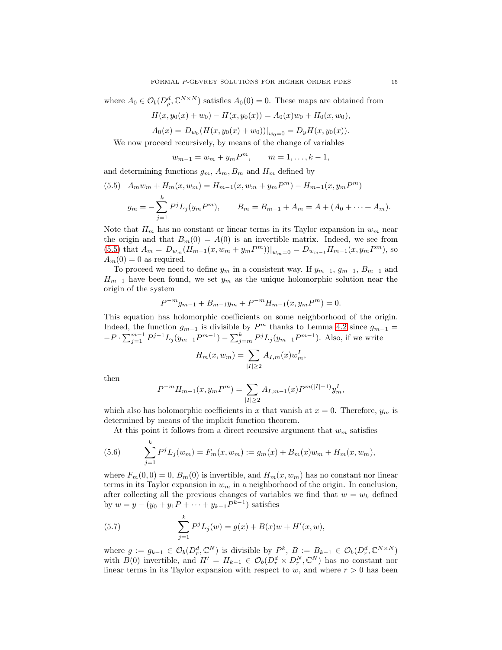where  $A_0 \in \mathcal{O}_b(D_\rho^d, \mathbb{C}^{N \times N})$  satisfies  $A_0(0) = 0$ . These maps are obtained from

$$
H(x, y_0(x) + w_0) - H(x, y_0(x)) = A_0(x)w_0 + H_0(x, w_0),
$$

 $A_0(x) = D_{w_0}(H(x, y_0(x) + w_0))|_{w_0=0} = D_yH(x, y_0(x)).$ 

We now proceed recursively, by means of the change of variables

 $w_{m-1} = w_m + y_m P^m$ ,  $m = 1, ..., k - 1$ ,

and determining functions  $g_m$ ,  $A_m$ ,  $B_m$  and  $H_m$  defined by

<span id="page-14-0"></span>(5.5) 
$$
A_m w_m + H_m(x, w_m) = H_{m-1}(x, w_m + y_m P^m) - H_{m-1}(x, y_m P^m)
$$
  

$$
g_m = -\sum_{j=1}^k P^j L_j(y_m P^m), \qquad B_m = B_{m-1} + A_m = A + (A_0 + \dots + A_m).
$$

Note that  $H_m$  has no constant or linear terms in its Taylor expansion in  $w_m$  near the origin and that  $B_m(0) = A(0)$  is an invertible matrix. Indeed, we see from [\(5.5\)](#page-14-0) that  $A_m = D_{w_m}(H_{m-1}(x, w_m + y_m P^m))|_{w_m=0} = D_{w_{m-1}}H_{m-1}(x, y_m P^m)$ , so  $A_m(0) = 0$  as required.

To proceed we need to define  $y_m$  in a consistent way. If  $y_{m-1}, g_{m-1}, B_{m-1}$  and  $H_{m-1}$  have been found, we set  $y_m$  as the unique holomorphic solution near the origin of the system

$$
P^{-m}g_{m-1} + B_{m-1}y_m + P^{-m}H_{m-1}(x, y_m P^m) = 0.
$$

This equation has holomorphic coefficients on some neighborhood of the origin. Indeed, the function  $g_{m-1}$  is divisible by  $P^m$  thanks to Lemma [4.2](#page-11-2) since  $g_{m-1}$  =  $-P \cdot \sum_{j=1}^{m-1} P^{j-1} L_j(y_{m-1}P^{m-1}) - \sum_{j=m}^{k} P^{j} L_j(y_{m-1}P^{m-1})$ . Also, if we write

$$
H_m(x, w_m) = \sum_{|I| \ge 2} A_{I,m}(x) w_m^I,
$$

then

$$
P^{-m}H_{m-1}(x, y_m P^m) = \sum_{|I| \ge 2} A_{I,m-1}(x) P^{m(|I|-1)} y_m^I,
$$

which also has holomorphic coefficients in x that vanish at  $x = 0$ . Therefore,  $y_m$  is determined by means of the implicit function theorem.

At this point it follows from a direct recursive argument that  $w_m$  satisfies

(5.6) 
$$
\sum_{j=1}^{k} P^{j} L_{j}(w_{m}) = F_{m}(x, w_{m}) := g_{m}(x) + B_{m}(x)w_{m} + H_{m}(x, w_{m}),
$$

where  $F_m(0,0) = 0$ ,  $B_m(0)$  is invertible, and  $H_m(x, w_m)$  has no constant nor linear terms in its Taylor expansion in  $w_m$  in a neighborhood of the origin. In conclusion, after collecting all the previous changes of variables we find that  $w = w_k$  defined by  $w = y - (y_0 + y_1P + \dots + y_{k-1}P^{k-1})$  satisfies

<span id="page-14-1"></span>(5.7) 
$$
\sum_{j=1}^{k} P^{j} L_{j}(w) = g(x) + B(x)w + H'(x, w),
$$

where  $g := g_{k-1} \in \mathcal{O}_b(D_r^d, \mathbb{C}^N)$  is divisible by  $P^k$ ,  $B := B_{k-1} \in \mathcal{O}_b(D_r^d, \mathbb{C}^{N \times N})$ with  $B(0)$  invertible, and  $H' = H_{k-1} \in \mathcal{O}_b(D_r^d \times D_r^N, \mathbb{C}^N)$  has no constant nor linear terms in its Taylor expansion with respect to  $w$ , and where  $r > 0$  has been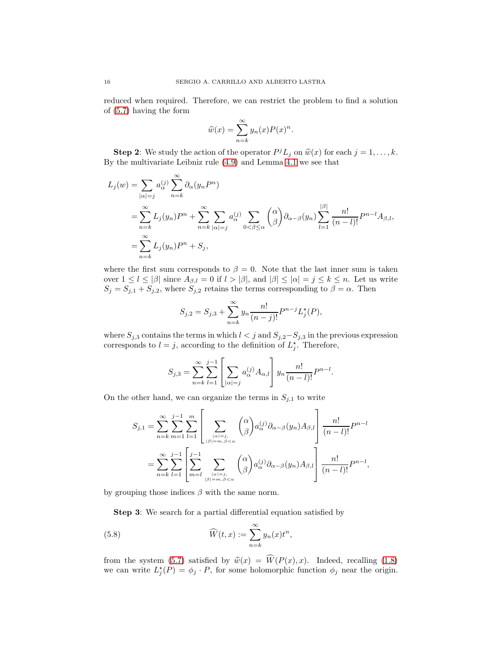reduced when required. Therefore, we can restrict the problem to find a solution of [\(5.7\)](#page-14-1) having the form

$$
\widehat{w}(x) = \sum_{n=k}^{\infty} y_n(x) P(x)^n.
$$

**Step 2:** We study the action of the operator  $P^{j}L_{j}$  on  $\widehat{w}(x)$  for each  $j = 1, ..., k$ . By the multivariate Leibniz rule [\(4.9\)](#page-11-3) and Lemma [4.1](#page-10-6) we see that

$$
L_j(w) = \sum_{|\alpha|=j} a_{\alpha}^{(j)} \sum_{n=k}^{\infty} \partial_{\alpha} (y_n P^n)
$$
  
= 
$$
\sum_{n=k}^{\infty} L_j(y_n) P^n + \sum_{n=k}^{\infty} \sum_{|\alpha|=j} a_{\alpha}^{(j)} \sum_{0<\beta\leq\alpha} {\alpha \choose \beta} \partial_{\alpha-\beta} (y_n) \sum_{l=1}^{|\beta|} \frac{n!}{(n-l)!} P^{n-l} A_{\beta,l},
$$
  
= 
$$
\sum_{n=k}^{\infty} L_j(y_n) P^n + S_j,
$$

where the first sum corresponds to  $\beta = 0$ . Note that the last inner sum is taken over  $1 \leq l \leq |\beta|$  since  $A_{\beta,l} = 0$  if  $l > |\beta|$ , and  $|\beta| \leq |\alpha| = j \leq k \leq n$ . Let us write  $S_j = S_{j,1} + S_{j,2}$ , where  $S_{j,2}$  retains the terms corresponding to  $\beta = \alpha$ . Then

$$
S_{j,2} = S_{j,3} + \sum_{n=k}^{\infty} y_n \frac{n!}{(n-j)!} P^{n-j} L_j^*(P),
$$

where  $S_{j,3}$  contains the terms in which  $l < j$  and  $S_{j,2}-S_{j,3}$  in the previous expression corresponds to  $l = j$ , according to the definition of  $L_j^*$ . Therefore,

$$
S_{j,3} = \sum_{n=k}^{\infty} \sum_{l=1}^{j-1} \left[ \sum_{|\alpha|=j} a_{\alpha}^{(j)} A_{\alpha,l} \right] y_n \frac{n!}{(n-l)!} P^{n-l}.
$$

On the other hand, we can organize the terms in  $S_{j,1}$  to write

$$
S_{j,1} = \sum_{n=k}^{\infty} \sum_{m=1}^{j-1} \sum_{l=1}^{m} \left[ \sum_{\substack{|\alpha|=j,\\|\beta|=m,\beta<\alpha}} {\alpha \choose \beta} a_{\alpha}^{(j)} \partial_{\alpha-\beta}(y_n) A_{\beta,l} \right] \frac{n!}{(n-l)!} P^{n-l}
$$
  
= 
$$
\sum_{n=k}^{\infty} \sum_{l=1}^{j-1} \left[ \sum_{m=l}^{j-1} \sum_{\substack{|\alpha|=j,\\|\beta|=m,\beta<\alpha}} {\alpha \choose \beta} a_{\alpha}^{(j)} \partial_{\alpha-\beta}(y_n) A_{\beta,l} \right] \frac{n!}{(n-l)!} P^{n-l},
$$

by grouping those indices  $\beta$  with the same norm.

<span id="page-15-0"></span>Step 3: We search for a partial differential equation satisfied by

(5.8) 
$$
\widehat{W}(t,x) := \sum_{n=k}^{\infty} y_n(x) t^n,
$$

from the system [\(5.7\)](#page-14-1) satisfied by  $\hat{w}(x) = \hat{W}(P(x), x)$ . Indeed, recalling [\(1.8\)](#page-3-2) we can write  $L_j^*(P) = \phi_j \cdot P$ , for some holomorphic function  $\phi_j$  near the origin.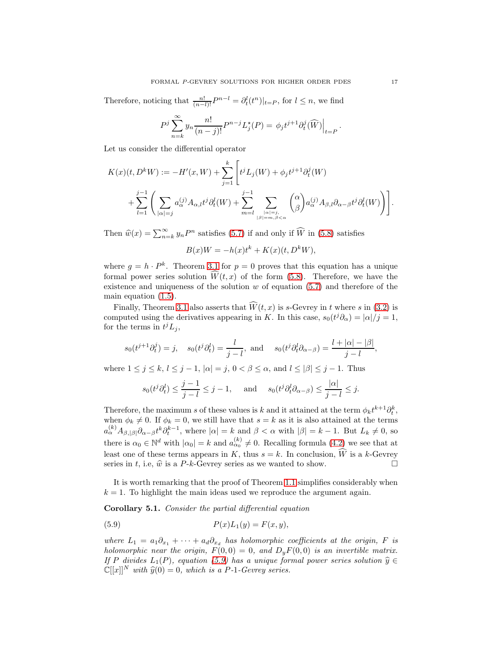Therefore, noticing that  $\frac{n!}{(n-l)!}P^{n-l} = \partial_t^l(t^n)|_{t=P}$ , for  $l \leq n$ , we find

$$
P^j\sum_{n=k}^{\infty}y_n\frac{n!}{(n-j)!}P^{n-j}L_j^{\star}(P)=\phi_jt^{j+1}\partial_t^j(\widehat{W})\Big|_{t=P}.
$$

Let us consider the differential operator

$$
K(x)(t, D^k W) := -H'(x, W) + \sum_{j=1}^k \left[ t^j L_j(W) + \phi_j t^{j+1} \partial_t^j(W) + \sum_{j=1}^{j-1} \left( \sum_{|\alpha|=j} a_{\alpha}^{(j)} A_{\alpha,l} t^j \partial_t^l(W) + \sum_{m=l}^{j-1} \sum_{\substack{|\alpha|=j, \\ |\beta|=m, \beta < \alpha}} {\alpha \choose \beta} a_{\alpha}^{(j)} A_{\beta,l} \partial_{\alpha-\beta} t^j \partial_t^l(W) \right) \right].
$$

Then  $\hat{w}(x) = \sum_{n=k}^{\infty} y_n P^n$  satisfies [\(5.7\)](#page-14-1) if and only if  $\widehat{W}$  in [\(5.8\)](#page-15-0) satisfies

$$
B(x)W = -h(x)t^k + K(x)(t, D^k W),
$$

where  $g = h \cdot P^k$ . Theorem [3.1](#page-6-1) for  $p = 0$  proves that this equation has a unique formal power series solution  $\widehat{W}(t, x)$  of the form [\(5.8\)](#page-15-0). Therefore, we have the existence and uniqueness of the solution  $w$  of equation [\(5.7\)](#page-14-1) and therefore of the main equation [\(1.5\)](#page-2-0).

Finally, Theorem [3.1](#page-6-1) also asserts that  $\widehat{W}(t, x)$  is s-Gevrey in t where s in [\(3.2\)](#page-6-4) is computed using the derivatives appearing in K. In this case,  $s_0(t^j \partial_\alpha) = |\alpha|/j = 1$ , for the terms in  $t^j L_j$ ,

$$
s_0(t^{j+1}\partial_t^j) = j
$$
,  $s_0(t^j\partial_t^l) = \frac{l}{j-l}$ , and  $s_0(t^j\partial_t^l\partial_{\alpha-\beta}) = \frac{l+|\alpha|-|\beta|}{j-l}$ ,

where  $1 \leq j \leq k, l \leq j-1, |\alpha| = j, 0 < \beta \leq \alpha$ , and  $l \leq |\beta| \leq j-1$ . Thus

$$
s_0(t^j \partial_t^l) \le \frac{j-1}{j-l} \le j-1
$$
, and  $s_0(t^j \partial_t^l \partial_{\alpha-\beta}) \le \frac{|\alpha|}{j-l} \le j$ .

Therefore, the maximum s of these values is k and it attained at the term  $\phi_k t^{k+1} \partial_t^k$ , when  $\phi_k \neq 0$ . If  $\phi_k = 0$ , we still have that  $s = k$  as it is also attained at the terms  $a_{\alpha}^{(k)}A_{\beta,|\beta|}\partial_{\alpha-\beta}t^k\partial_t^{k-1}$ , where  $|\alpha|=k$  and  $\beta<\alpha$  with  $|\beta|=k-1$ . But  $L_k\neq 0$ , so there is  $\alpha_0 \in \mathbb{N}^d$  with  $|\alpha_0| = k$  and  $a_{\alpha_0}^{(k)} \neq 0$ . Recalling formula  $(4.2)$  we see that at least one of these terms appears in K, thus  $s = k$ . In conclusion,  $\widehat{W}$  is a k-Gevrey series in t, i.e.  $\widehat{w}$  is a P-k-Gevrey series as we wanted to show. series in t, i.e,  $\hat{w}$  is a P-k-Gevrey series as we wanted to show.

It is worth remarking that the proof of Theorem [1.1](#page-3-0) simplifies considerably when  $k = 1$ . To highlight the main ideas used we reproduce the argument again.

<span id="page-16-0"></span>Corollary 5.1. Consider the partial differential equation

<span id="page-16-1"></span>(5.9) 
$$
P(x)L_1(y) = F(x, y),
$$

where  $L_1 = a_1 \partial_{x_1} + \cdots + a_d \partial_{x_d}$  has holomorphic coefficients at the origin, F is holomorphic near the origin,  $F(0,0) = 0$ , and  $D_yF(0,0)$  is an invertible matrix. If P divides  $L_1(P)$ , equation [\(5.9\)](#page-16-1) has a unique formal power series solution  $\hat{y} \in$  $\mathbb{C}[[x]]^N$  with  $\widehat{y}(0) = 0$ , which is a P-1-Gevrey series.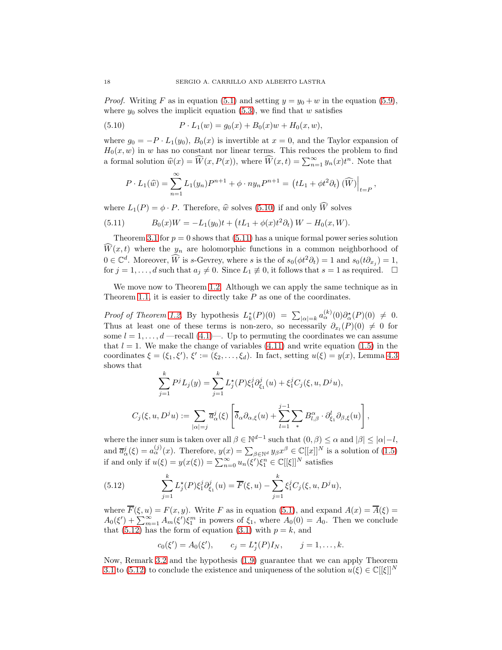*Proof.* Writing F as in equation [\(5.1\)](#page-13-1) and setting  $y = y_0 + w$  in the equation [\(5.9\)](#page-16-1), where  $y_0$  solves the implicit equation [\(5.3\)](#page-13-2), we find that w satisfies

(5.10) 
$$
P \cdot L_1(w) = g_0(x) + B_0(x)w + H_0(x, w),
$$

where  $g_0 = -P \cdot L_1(y_0)$ ,  $B_0(x)$  is invertible at  $x = 0$ , and the Taylor expansion of  $H_0(x, w)$  in w has no constant nor linear terms. This reduces the problem to find a formal solution  $\widehat{w}(x) = \widehat{W}(x, P(x))$ , where  $\widehat{W}(x, t) = \sum_{n=1}^{\infty} y_n(x) t^n$ . Note that

<span id="page-17-0"></span>
$$
P \cdot L_1(\widehat{w}) = \sum_{n=1}^{\infty} L_1(y_n) P^{n+1} + \phi \cdot n y_n P^{n+1} = (tL_1 + \phi t^2 \partial_t) \widehat{(W)} \Big|_{t=P},
$$

where  $L_1(P) = \phi \cdot P$ . Therefore,  $\hat{w}$  solves [\(5.10\)](#page-17-0) if and only  $\widehat{W}$  solves

<span id="page-17-1"></span>(5.11) 
$$
B_0(x)W = -L_1(y_0)t + (tL_1 + \phi(x)t^2 \partial_t) W - H_0(x, W).
$$

Theorem [3.1](#page-6-1) for  $p = 0$  shows that [\(5.11\)](#page-17-1) has a unique formal power series solution  $\hat{W}(x,t)$  where the  $y_n$  are holomorphic functions in a common neighborhood of  $0 \in \mathbb{C}^d$ . Moreover,  $\widehat{W}$  is s-Gevrey, where s is the of  $s_0(\phi t^2 \partial_t) = 1$  and  $s_0(t\partial_{x_j}) = 1$ , for  $j = 1, ..., d$  such that  $a_j \neq 0$ . Since  $L_1 \neq 0$ , it follows that  $s = 1$  as required.  $\Box$ 

We move now to Theorem [1.2.](#page-3-1) Although we can apply the same technique as in Theorem [1.1,](#page-3-0) it is easier to directly take  $P$  as one of the coordinates.

Proof of Theorem [1.2.](#page-3-1) By hypothesis  $L_k^*(P)(0) = \sum_{|\alpha|=k} a_{\alpha}^{(k)}(0) \partial_{\alpha}^*(P)(0) \neq 0$ . Thus at least one of these terms is non-zero, so necessarily  $\partial_{x_l}(P)(0) \neq 0$  for some  $l = 1, \ldots, d$  —recall [\(4.1\)](#page-9-1)—. Up to permuting the coordinates we can assume that  $l = 1$ . We make the change of variables [\(4.11\)](#page-11-4) and write equation [\(1.5\)](#page-2-0) in the coordinates  $\xi = (\xi_1, \xi'), \xi' := (\xi_2, \dots, \xi_d).$  In fact, setting  $u(\xi) = y(x)$ , Lemma [4.3](#page-11-1) shows that

$$
\sum_{j=1}^k P^j L_j(y) = \sum_{j=1}^k L_j^*(P) \xi_1^j \partial_{\xi_1}^j(u) + \xi_1^j C_j(\xi, u, D^j u),
$$
  

$$
C_j(\xi, u, D^j u) := \sum_{|\alpha|=j} \overline{a}_{\alpha}^j(\xi) \left[ \overline{\delta}_{\alpha} \partial_{\alpha,\xi}(u) + \sum_{l=1}^{j-1} \sum_{\ast} B_{l,\beta}^{\alpha} \cdot \partial_{\xi_1}^l \partial_{\beta,\xi}(u) \right],
$$

where the inner sum is taken over all  $\beta \in \mathbb{N}^{d-1}$  such that  $(0, \beta) \leq \alpha$  and  $|\beta| \leq |\alpha|-l$ , and  $\overline{a}_{\alpha}^{j}(\xi) = a_{\alpha}^{(j)}(x)$ . Therefore,  $y(x) = \sum_{\beta \in \mathbb{N}^{d}} y_{\beta} x^{\beta} \in \mathbb{C}[[x]]^{N}$  is a solution of [\(1.5\)](#page-2-0) if and only if  $u(\xi) = y(x(\xi)) = \sum_{n=0}^{\infty} u_n(\xi') \xi_1^n \in \mathbb{C}[[\xi]]^N$  satisfies

<span id="page-17-2"></span>(5.12) 
$$
\sum_{j=1}^{k} L_j^{\star}(P) \xi_1^j \partial_{\xi_1}^j(u) = \overline{F}(\xi, u) - \sum_{j=1}^{k} \xi_1^j C_j(\xi, u, D^j u),
$$

where  $\overline{F}(\xi, u) = F(x, y)$ . Write F as in equation [\(5.1\)](#page-13-1), and expand  $A(x) = \overline{A}(\xi)$  $A_0(\xi') + \sum_{m=1}^{\infty} A_m(\xi') \xi_1^m$  in powers of  $\xi_1$ , where  $A_0(0) = A_0$ . Then we conclude that [\(5.12\)](#page-17-2) has the form of equation [\(3.1\)](#page-6-2) with  $p = k$ , and

$$
c_0(\xi') = A_0(\xi'),
$$
  $c_j = L_j^*(P)I_N,$   $j = 1,...,k.$ 

Now, Remark [3.2](#page-8-2) and the hypothesis [\(1.9\)](#page-3-3) guarantee that we can apply Theorem [3.1](#page-6-1) to [\(5.12\)](#page-17-2) to conclude the existence and uniqueness of the solution  $u(\xi) \in \mathbb{C}[[\xi]]^N$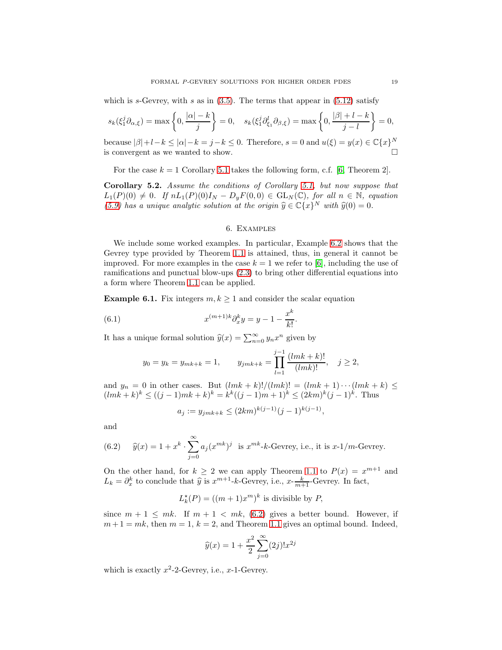which is s-Gevrey, with s as in  $(3.5)$ . The terms that appear in  $(5.12)$  satisfy

$$
s_k(\xi_1^j \partial_{\alpha,\xi}) = \max\left\{0, \frac{|\alpha|-k}{j}\right\} = 0, \quad s_k(\xi_1^j \partial_{\xi_1}^l \partial_{\beta,\xi}) = \max\left\{0, \frac{|\beta|+l-k}{j-l}\right\} = 0,
$$

because  $|\beta|+l-k \le |\alpha|-k = j-k \le 0$ . Therefore,  $s = 0$  and  $u(\xi) = y(x) \in \mathbb{C}\lbrace x \rbrace^N$ is convergent as we wanted to show.

For the case  $k = 1$  Corollary [5.1](#page-16-0) takes the following form, c.f. [\[6,](#page-20-20) Theorem 2].

<span id="page-18-0"></span>Corollary 5.2. Assume the conditions of Corollary [5.1,](#page-16-0) but now suppose that  $L_1(P)(0) \neq 0$ . If  $nL_1(P)(0)I_N - D_yF(0,0) \in GL_N(\mathbb{C})$ , for all  $n \in \mathbb{N}$ , equation [\(5.9\)](#page-16-1) has a unique analytic solution at the origin  $\hat{y} \in \mathbb{C}\lbrace x \rbrace^N$  with  $\hat{y}(0) = 0$ .

### 6. Examples

<span id="page-18-1"></span>We include some worked examples. In particular, Example [6.2](#page-19-0) shows that the Gevrey type provided by Theorem [1.1](#page-3-0) is attained, thus, in general it cannot be improved. For more examples in the case  $k = 1$  we refer to [\[6\]](#page-20-20), including the use of ramifications and punctual blow-ups [\(2.3\)](#page-5-1) to bring other differential equations into a form where Theorem [1.1](#page-3-0) can be applied.

**Example 6.1.** Fix integers  $m, k \ge 1$  and consider the scalar equation

(6.1) 
$$
x^{(m+1)k} \partial_x^k y = y - 1 - \frac{x^k}{k!}.
$$

It has a unique formal solution  $\hat{y}(x) = \sum_{n=0}^{\infty} y_n x^n$  given by

$$
y_0 = y_k = y_{mk+k} = 1,
$$
  $y_{jmk+k} = \prod_{l=1}^{j-1} \frac{(lmk+k)!}{(lmk)!}, \quad j \ge 2,$ 

and  $y_n = 0$  in other cases. But  $(lmk + k)!/(lmk)! = (lmk + 1) \cdots (lmk + k) \le$  $(lmk+k)^k \leq ((j-1)mk+k)^k = k^k((j-1)m+1)^k \leq (2km)^k(j-1)^k$ . Thus

$$
a_j := y_{jmk+k} \le (2km)^{k(j-1)}(j-1)^{k(j-1)},
$$

and

<span id="page-18-2"></span>(6.2) 
$$
\widehat{y}(x) = 1 + x^k \cdot \sum_{j=0}^{\infty} a_j (x^{mk})^j
$$
 is  $x^{mk}$ -*k*-Gevrey, i.e., it is  $x^{-1}/m$ -Gevrey.

On the other hand, for  $k \geq 2$  we can apply Theorem [1.1](#page-3-0) to  $P(x) = x^{m+1}$  and  $L_k = \partial_x^k$  to conclude that  $\hat{y}$  is  $x^{m+1}$ - $k$ -Gevrey, i.e.,  $x$ - $\frac{k}{m+1}$ -Gevrey. In fact,

$$
L_k^{\star}(P) = ((m+1)x^m)^k
$$
 is divisible by P,

since  $m + 1 \leq mk$ . If  $m + 1 < mk$ , [\(6.2\)](#page-18-2) gives a better bound. However, if  $m+1 = mk$ , then  $m = 1$ ,  $k = 2$ , and Theorem [1.1](#page-3-0) gives an optimal bound. Indeed,

$$
\widehat{y}(x) = 1 + \frac{x^2}{2} \sum_{j=0}^{\infty} (2j)! x^{2j}
$$

which is exactly  $x^2$ -2-Gevrey, i.e.,  $x$ -1-Gevrey.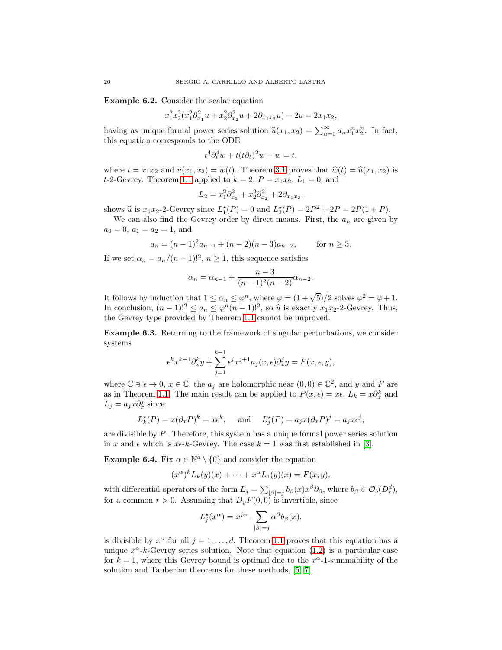<span id="page-19-0"></span>Example 6.2. Consider the scalar equation

$$
x_1^2 x_2^2 (x_1^2 \partial_{x_1}^2 u + x_2^2 \partial_{x_2}^2 u + 2 \partial_{x_1 x_2} u) - 2u = 2x_1 x_2,
$$

having as unique formal power series solution  $\hat{u}(x_1, x_2) = \sum_{n=0}^{\infty} a_n x_1^n x_2^n$ . In fact, this equation corresponds to the ODE

$$
t^4 \partial_t^4 w + t(t \partial_t)^2 w - w = t,
$$

where  $t = x_1x_2$  and  $u(x_1, x_2) = w(t)$ . Theorem [3.1](#page-6-1) proves that  $\hat{w}(t) = \hat{u}(x_1, x_2)$  is t-2-Gevrey. Theorem [1.1](#page-3-0) applied to  $k = 2$ ,  $P = x_1x_2$ ,  $L_1 = 0$ , and

$$
L_2 = x_1^2 \partial_{x_1}^2 + x_2^2 \partial_{x_2}^2 + 2 \partial_{x_1 x_2},
$$

shows  $\hat{u}$  is  $x_1x_2$ -2-Gevrey since  $L_1^*(P) = 0$  and  $L_2^*(P) = 2P^2 + 2P = 2P(1 + P)$ .

We can also find the Gevrey order by direct means. First, the  $a_n$  are given by  $a_0 = 0, a_1 = a_2 = 1, \text{ and}$ 

$$
a_n = (n-1)^2 a_{n-1} + (n-2)(n-3)a_{n-2}, \qquad \text{for } n \ge 3.
$$

If we set  $\alpha_n = a_n/(n-1)!^2$ ,  $n \ge 1$ , this sequence satisfies

$$
\alpha_n = \alpha_{n-1} + \frac{n-3}{(n-1)^2(n-2)}\alpha_{n-2}.
$$

It follows by induction that  $1 \leq \alpha_n \leq \varphi^n$ , where  $\varphi = (1 + \sqrt{5})/2$  solves  $\varphi^2 = \varphi + 1$ . In conclusion,  $(n-1)!^2 \le a_n \le \varphi^n (n-1)!^2$ , so  $\hat{u}$  is exactly  $x_1 x_2$ -2-Gevrey. Thus, the Gevrey type provided by Theorem [1.1](#page-3-0) cannot be improved.

Example 6.3. Returning to the framework of singular perturbations, we consider systems

$$
\epsilon^k x^{k+1} \partial_x^k y + \sum_{j=1}^{k-1} \epsilon^j x^{j+1} a_j(x, \epsilon) \partial_x^j y = F(x, \epsilon, y),
$$

where  $\mathbb{C} \ni \epsilon \to 0$ ,  $x \in \mathbb{C}$ , the  $a_j$  are holomorphic near  $(0,0) \in \mathbb{C}^2$ , and y and F are as in Theorem [1.1.](#page-3-0) The main result can be applied to  $P(x, \epsilon) = x\epsilon$ ,  $L_k = x\partial_x^k$  and  $L_j = a_j x \partial_x^j$  since

$$
L_k^*(P) = x(\partial_x P)^k = x\epsilon^k
$$
, and  $L_j^*(P) = a_j x(\partial_x P)^j = a_j x\epsilon^j$ ,

are divisible by P. Therefore, this system has a unique formal power series solution in x and  $\epsilon$  which is x $\epsilon$ -k-Gevrey. The case  $k = 1$  was first established in [\[3\]](#page-20-4).

**Example 6.4.** Fix  $\alpha \in \mathbb{N}^d \setminus \{0\}$  and consider the equation

$$
(x^{\alpha})^k L_k(y)(x) + \cdots + x^{\alpha} L_1(y)(x) = F(x, y),
$$

with differential operators of the form  $L_j = \sum_{|\beta|=j} b_{\beta}(x) x^{\beta} \partial_{\beta}$ , where  $b_{\beta} \in \mathcal{O}_b(D_r^d)$ , for a common  $r > 0$ . Assuming that  $D_y F(0,0)$  is invertible, since

$$
L_j^{\star}(x^{\alpha}) = x^{j\alpha} \cdot \sum_{|\beta|=j} \alpha^{\beta} b_{\beta}(x),
$$

is divisible by  $x^{\alpha}$  for all  $j = 1, ..., d$ , Theorem [1.1](#page-3-0) proves that this equation has a unique  $x^{\alpha}$ -k-Gevrey series solution. Note that equation [\(1.2\)](#page-1-1) is a particular case for  $k = 1$ , where this Gevrey bound is optimal due to the  $x^{\alpha}$ -1-summability of the solution and Tauberian theorems for these methods, [\[5,](#page-20-18) [7\]](#page-20-21).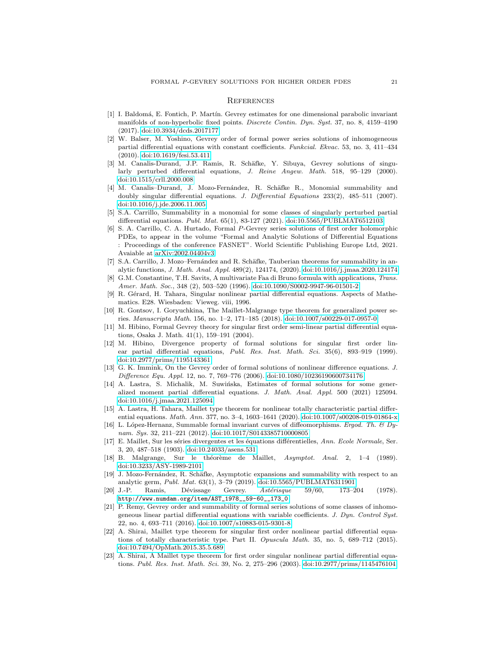#### **REFERENCES**

- <span id="page-20-9"></span>[1] I. Baldom´a, E. Fontich, P. Mart´ın. Gevrey estimates for one dimensional parabolic invariant manifolds of non-hyperbolic fixed points. Discrete Contin. Dyn. Syst. 37, no. 8, 4159–4190 (2017). [doi:10.3934/dcds.2017177](http://dx.doi.org/10.3934/dcds.2017177)
- <span id="page-20-6"></span>[2] W. Balser, M. Yoshino, Gevrey order of formal power series solutions of inhomogeneous partial differential equations with constant coefficients. Funkcial. Ekvac. 53, no. 3, 411–434 (2010). [doi:10.1619/fesi.53.411](http://dx.doi.org/10.1619/fesi.53.411)
- <span id="page-20-4"></span>[3] M. Canalis-Durand, J.P. Ramis, R. Schäfke, Y. Sibuya, Gevrey solutions of singularly perturbed differential equations, J. Reine Angew. Math. 518, 95–129 (2000). [doi:10.1515/crll.2000.008](http://dx.doi.org/10.1515/crll.2000.008)
- <span id="page-20-17"></span>[4] M. Canalis–Durand, J. Mozo-Fernández, R. Schäfke R., Monomial summability and doubly singular differential equations. J. Differential Equations 233(2), 485–511 (2007). [doi:10.1016/j.jde.2006.11.005](http://dx.doi.org/10.1016/j.jde.2006.11.005)
- <span id="page-20-18"></span>[5] S.A. Carrillo, Summability in a monomial for some classes of singularly perturbed partial differential equations. Publ. Mat. 65(1), 83-127 (2021). [doi:10.5565/PUBLMAT6512103](http://dx.doi.org/10.5565/PUBLMAT6512103)
- <span id="page-20-20"></span>[6] S. A. Carrillo, C. A. Hurtado, Formal P-Gevrey series solutions of first order holomorphic PDEs, to appear in the volume "Formal and Analytic Solutions of Differential Equations : Proceedings of the conference FASNET". World Scientific Publishing Europe Ltd, 2021. Avaiable at [arXiv:2002.04404v3](http://arxiv.org/abs/2002.04404v3)
- <span id="page-20-21"></span>[7] S.A. Carrillo, J. Mozo–Fernández and R. Schäfke, Tauberian theorems for summability in analytic functions, J. Math. Anal. Appl. 489(2), 124174, (2020). [doi:10.1016/j.jmaa.2020.124174](http://dx.doi.org/10.1016/j.jmaa.2020.124174)
- <span id="page-20-22"></span>[8] G.M. Constantine, T.H. Savits, A multivariate Faa di Bruno formula with applications, Trans. Amer. Math. Soc., 348 (2), 503–520 (1996). [doi:10.1090/S0002-9947-96-01501-2](http://dx.doi.org/10.1090/S0002-9947-96-01501-2)
- <span id="page-20-11"></span>[9] R. Gérard, H. Tahara, Singular nonlinear partial differential equations. Aspects of Mathematics. E28. Wiesbaden: Vieweg. viii, 1996.
- <span id="page-20-3"></span>[10] R. Gontsov, I. Goryuchkina, The Maillet-Malgrange type theorem for generalized power series. Manuscripta Math. 156, no. 1–2, 171–185 (2018). [doi:10.1007/s00229-017-0957-0](http://dx.doi.org/10.1007/s00229-017-0957-0)
- <span id="page-20-12"></span>[11] M. Hibino, Formal Gevrey theory for singular first order semi-linear partial differential equations, Osaka J. Math. 41(1), 159–191 (2004).
- <span id="page-20-13"></span>[12] M. Hibino, Divergence property of formal solutions for singular first order linear partial differential equations, Publ. Res. Inst. Math. Sci. 35(6), 893-919 (1999). [doi:10.2977/prims/1195143361](http://dx.doi.org/10.2977/prims/1195143361)
- <span id="page-20-8"></span>[13] G. K. Immink, On the Gevrey order of formal solutions of nonlinear difference equations. J. Difference Equ. Appl. 12, no. 7, 769–776 (2006). [doi:10.1080/10236190600734176](http://dx.doi.org/10.1080/10236190600734176)
- <span id="page-20-7"></span>[14] A. Lastra, S. Michalik, M. Suwińska, Estimates of formal solutions for some generalized moment partial differential equations. J. Math. Anal. Appl. 500 (2021) 125094. [doi:10.1016/j.jmaa.2021.125094](http://dx.doi.org/10.1016/j.jmaa.2021.125094)
- <span id="page-20-16"></span>[15] A. Lastra, H. Tahara, Maillet type theorem for nonlinear totally characteristic partial differential equations. Math. Ann. 377, no. 3–4, 1603–1641 (2020). [doi:10.1007/s00208-019-01864-x](http://dx.doi.org/10.1007/s00208-019-01864-x)
- <span id="page-20-10"></span>[16] L. López-Hernanz, Summable formal invariant curves of diffeomorphisms. Ergod. Th.  $\mathcal B$  Dynam. Sys. 32, 211–221 (2012). [doi:10.1017/S0143385710000805](http://dx.doi.org/10.1017/S0143385710000805)
- <span id="page-20-0"></span>[17] E. Maillet, Sur les séries divergentes et les équations différentielles, Ann. Ecole Normale, Ser. 3, 20, 487–518 (1903). [doi:10.24033/asens.531](http://dx.doi.org/10.24033/asens.531)
- <span id="page-20-1"></span>[18] B. Malgrange, Sur le théorème de Maillet,  $Asymptot.$  Anal. 2, 1–4 (1989). [doi:10.3233/ASY-1989-2101](http://dx.doi.org/10.3233/ASY-1989-2101)
- <span id="page-20-19"></span>[19] J. Mozo-Fernández, R. Schäfke, Asymptotic expansions and summability with respect to an analytic germ, Publ. Mat. 63(1), 3–79 (2019). [doi:10.5565/PUBLMAT6311901](http://dx.doi.org/10.5565/PUBLMAT6311901)
- <span id="page-20-2"></span>[20] J.-P. Ramis, Dévissage Gevrey. Astérisque 59/60, 173–204 (1978). [http://www.numdam.org/item/AST\\_1978\\_\\_59-60\\_\\_173\\_0](http://www.numdam.org/item/AST_1978__59-60__173_0)
- <span id="page-20-5"></span>[21] P. Remy, Gevrey order and summability of formal series solutions of some classes of inhomogeneous linear partial differential equations with variable coefficients. J. Dyn. Control Syst. 22, no. 4, 693–711 (2016). [doi:10.1007/s10883-015-9301-8](http://dx.doi.org/10.1007/s10883-015-9301-8)
- <span id="page-20-14"></span>[22] A. Shirai, Maillet type theorem for singular first order nonlinear partial differential equations of totally characteristic type. Part II. Opuscula Math. 35, no. 5, 689–712 (2015). [doi:10.7494/OpMath.2015.35.5.689](http://dx.doi.org/10.7494/OpMath.2015.35.5.689)
- <span id="page-20-15"></span>[23] A. Shirai, A Maillet type theorem for first order singular nonlinear partial differential equations. Publ. Res. Inst. Math. Sci. 39, No. 2, 275–296 (2003). [doi:10.2977/prims/1145476104](http://dx.doi.org/10.2977/prims/1145476104)